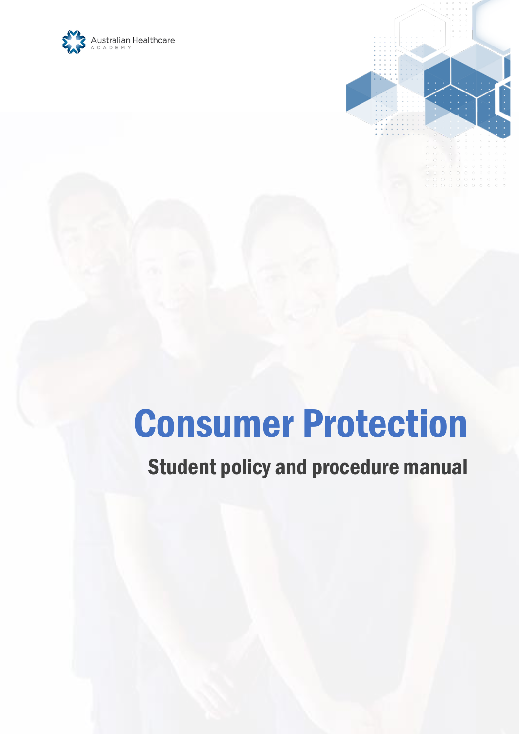



# Consumer Protection

# Student policy and procedure manual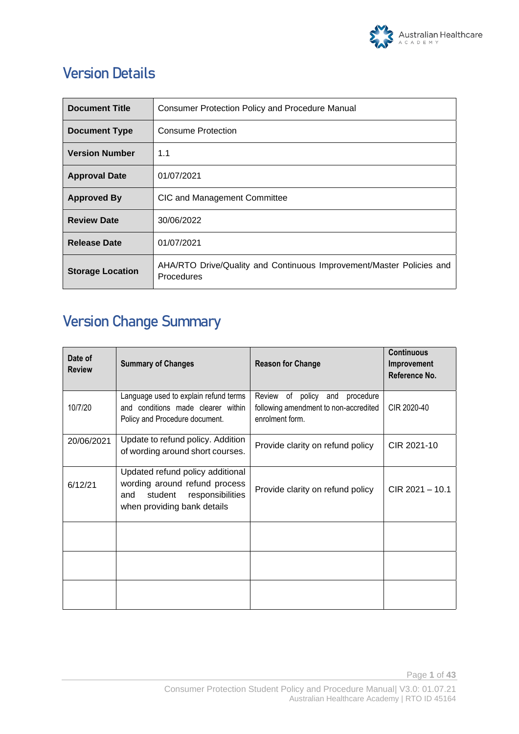

# **Version Details**

| <b>Document Title</b>   | Consumer Protection Policy and Procedure Manual                                           |  |
|-------------------------|-------------------------------------------------------------------------------------------|--|
| <b>Document Type</b>    | Consume Protection                                                                        |  |
| <b>Version Number</b>   | 1.1                                                                                       |  |
| <b>Approval Date</b>    | 01/07/2021                                                                                |  |
| <b>Approved By</b>      | CIC and Management Committee                                                              |  |
| <b>Review Date</b>      | 30/06/2022                                                                                |  |
| <b>Release Date</b>     | 01/07/2021                                                                                |  |
| <b>Storage Location</b> | AHA/RTO Drive/Quality and Continuous Improvement/Master Policies and<br><b>Procedures</b> |  |

# **Version Change Summary**

| Date of<br><b>Review</b> | <b>Summary of Changes</b>                                                                                                              | <b>Reason for Change</b>                                                                         | <b>Continuous</b><br>Improvement<br>Reference No. |
|--------------------------|----------------------------------------------------------------------------------------------------------------------------------------|--------------------------------------------------------------------------------------------------|---------------------------------------------------|
| 10/7/20                  | Language used to explain refund terms<br>and conditions made clearer within<br>Policy and Procedure document.                          | of policy and<br>Review<br>procedure<br>following amendment to non-accredited<br>enrolment form. | CIR 2020-40                                       |
| 20/06/2021               | Update to refund policy. Addition<br>of wording around short courses.                                                                  | Provide clarity on refund policy                                                                 | CIR 2021-10                                       |
| 6/12/21                  | Updated refund policy additional<br>wording around refund process<br>responsibilities<br>student<br>and<br>when providing bank details | Provide clarity on refund policy                                                                 | CIR 2021 - 10.1                                   |
|                          |                                                                                                                                        |                                                                                                  |                                                   |
|                          |                                                                                                                                        |                                                                                                  |                                                   |
|                          |                                                                                                                                        |                                                                                                  |                                                   |

Page **1** of **43**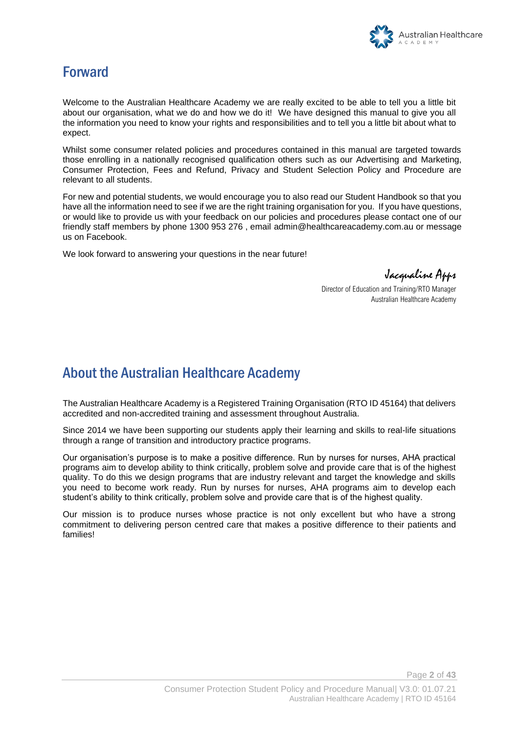

### Forward

Welcome to the Australian Healthcare Academy we are really excited to be able to tell you a little bit about our organisation, what we do and how we do it! We have designed this manual to give you all the information you need to know your rights and responsibilities and to tell you a little bit about what to expect.

Whilst some consumer related policies and procedures contained in this manual are targeted towards those enrolling in a nationally recognised qualification others such as our Advertising and Marketing, Consumer Protection, Fees and Refund, Privacy and Student Selection Policy and Procedure are relevant to all students.

For new and potential students, we would encourage you to also read our Student Handbook so that you have all the information need to see if we are the right training organisation for you. If you have questions, or would like to provide us with your feedback on our policies and procedures please contact one of our friendly staff members by phone 1300 953 276 , email [admin@healthcareacademy.com.au](mailto:admin@healthcareacademy.com.au) or message us on Facebook.

We look forward to answering your questions in the near future!

Jacqualine Apps

Director of Education and Training/RTO Manager Australian Healthcare Academy

### About the Australian Healthcare Academy

The Australian Healthcare Academy is a Registered Training Organisation (RTO ID 45164) that delivers accredited and non-accredited training and assessment throughout Australia.

Since 2014 we have been supporting our students apply their learning and skills to real-life situations through a range of transition and introductory practice programs.

Our organisation's purpose is to make a positive difference. Run by nurses for nurses, AHA practical programs aim to develop ability to think critically, problem solve and provide care that is of the highest quality. To do this we design programs that are industry relevant and target the knowledge and skills you need to become work ready. Run by nurses for nurses, AHA programs aim to develop each student's ability to think critically, problem solve and provide care that is of the highest quality.

Our mission is to produce nurses whose practice is not only excellent but who have a strong commitment to delivering person centred care that makes a positive difference to their patients and families!

Page **2** of **43**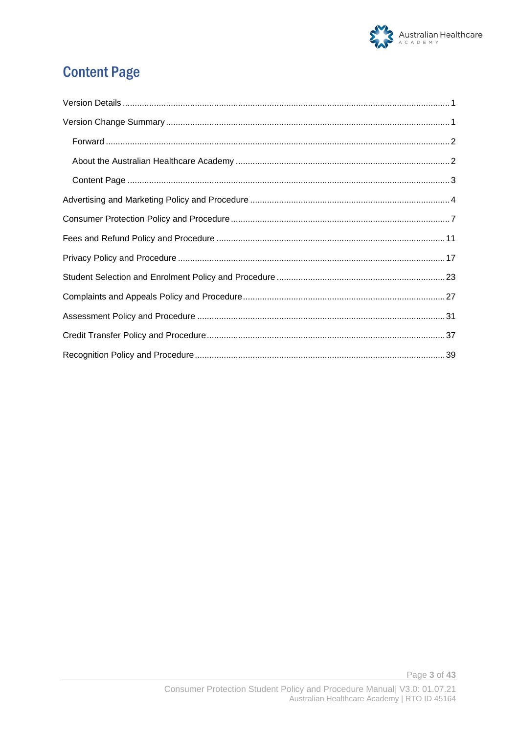

# **Content Page**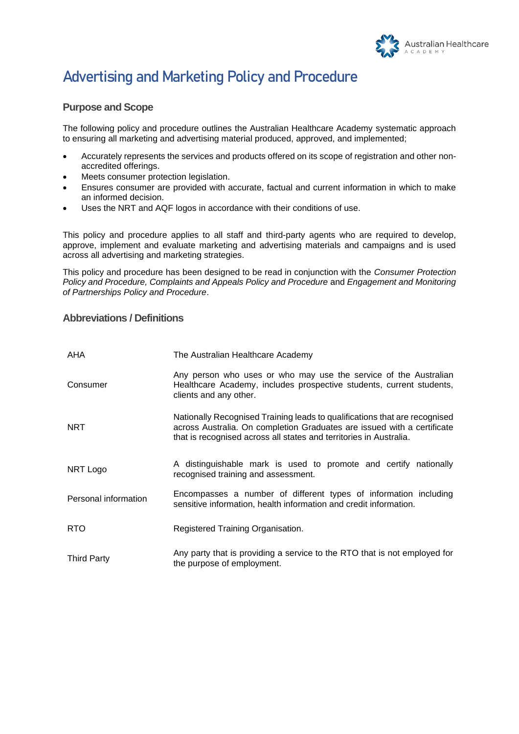

# **Advertising and Marketing Policy and Procedure**

#### **Purpose and Scope**

The following policy and procedure outlines the Australian Healthcare Academy systematic approach to ensuring all marketing and advertising material produced, approved, and implemented;

- Accurately represents the services and products offered on its scope of registration and other nonaccredited offerings.
- Meets consumer protection legislation.
- Ensures consumer are provided with accurate, factual and current information in which to make an informed decision.
- Uses the NRT and AQF logos in accordance with their conditions of use.

This policy and procedure applies to all staff and third-party agents who are required to develop, approve, implement and evaluate marketing and advertising materials and campaigns and is used across all advertising and marketing strategies.

This policy and procedure has been designed to be read in conjunction with the *Consumer Protection Policy and Procedure, Complaints and Appeals Policy and Procedure* and *Engagement and Monitoring of Partnerships Policy and Procedure*.

#### **Abbreviations / Definitions**

| <b>AHA</b>           | The Australian Healthcare Academy                                                                                                                                                                                           |
|----------------------|-----------------------------------------------------------------------------------------------------------------------------------------------------------------------------------------------------------------------------|
| Consumer             | Any person who uses or who may use the service of the Australian<br>Healthcare Academy, includes prospective students, current students,<br>clients and any other.                                                          |
| <b>NRT</b>           | Nationally Recognised Training leads to qualifications that are recognised<br>across Australia. On completion Graduates are issued with a certificate<br>that is recognised across all states and territories in Australia. |
| NRT Logo             | A distinguishable mark is used to promote and certify nationally<br>recognised training and assessment.                                                                                                                     |
| Personal information | Encompasses a number of different types of information including<br>sensitive information, health information and credit information.                                                                                       |
| <b>RTO</b>           | Registered Training Organisation.                                                                                                                                                                                           |
| <b>Third Party</b>   | Any party that is providing a service to the RTO that is not employed for<br>the purpose of employment.                                                                                                                     |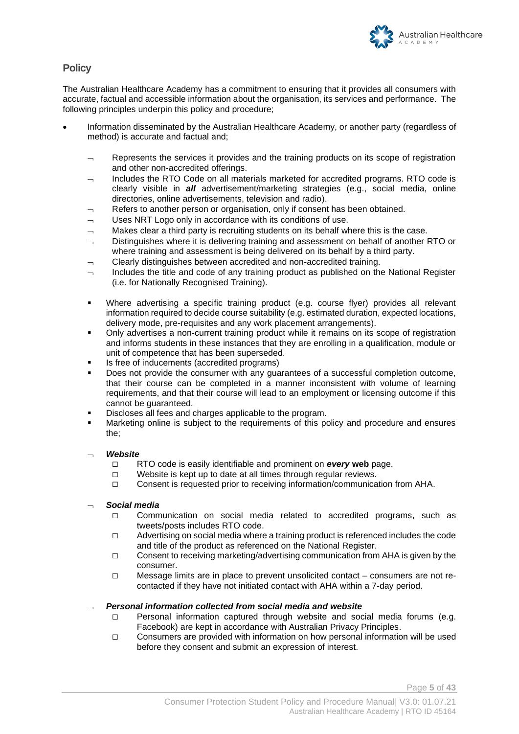

#### **Policy**

The Australian Healthcare Academy has a commitment to ensuring that it provides all consumers with accurate, factual and accessible information about the organisation, its services and performance. The following principles underpin this policy and procedure;

- Information disseminated by the Australian Healthcare Academy, or another party (regardless of method) is accurate and factual and;
	- $\Box$  Represents the services it provides and the training products on its scope of registration and other non-accredited offerings.
	- $\lnot$  Includes the RTO Code on all materials marketed for accredited programs. RTO code is clearly visible in *all* advertisement/marketing strategies (e.g., social media, online directories, online advertisements, television and radio).
	- Refers to another person or organisation, only if consent has been obtained.
	- Uses NRT Logo only in accordance with its conditions of use.
	- $\lnot$  Makes clear a third party is recruiting students on its behalf where this is the case.
	- Distinguishes where it is delivering training and assessment on behalf of another RTO or where training and assessment is being delivered on its behalf by a third party.
	- Clearly distinguishes between accredited and non-accredited training.
	- Includes the title and code of any training product as published on the National Register (i.e. for Nationally Recognised Training).
	- Where advertising a specific training product (e.g. course flyer) provides all relevant information required to decide course suitability (e.g. estimated duration, expected locations, delivery mode, pre-requisites and any work placement arrangements).
	- Only advertises a non-current training product while it remains on its scope of registration and informs students in these instances that they are enrolling in a qualification, module or unit of competence that has been superseded.
	- Is free of inducements (accredited programs)
	- Does not provide the consumer with any guarantees of a successful completion outcome, that their course can be completed in a manner inconsistent with volume of learning requirements, and that their course will lead to an employment or licensing outcome if this cannot be guaranteed.
	- Discloses all fees and charges applicable to the program.
	- Marketing online is subject to the requirements of this policy and procedure and ensures the;

#### *Website*

- RTO code is easily identifiable and prominent on *every* **web** page.
- $\Box$  Website is kept up to date at all times through regular reviews.
- Consent is requested prior to receiving information/communication from AHA.

#### *Social media*

- □ Communication on social media related to accredited programs, such as tweets/posts includes RTO code.
- $\Box$  Advertising on social media where a training product is referenced includes the code and title of the product as referenced on the National Register.
- $\Box$  Consent to receiving marketing/advertising communication from AHA is given by the consumer.
- $\Box$  Message limits are in place to prevent unsolicited contact consumers are not recontacted if they have not initiated contact with AHA within a 7-day period.

#### *Personal information collected from social media and website*

- $\Box$  Personal information captured through website and social media forums (e.g. Facebook) are kept in accordance with Australian Privacy Principles.
- $\Box$  Consumers are provided with information on how personal information will be used before they consent and submit an expression of interest.

Page **5** of **43**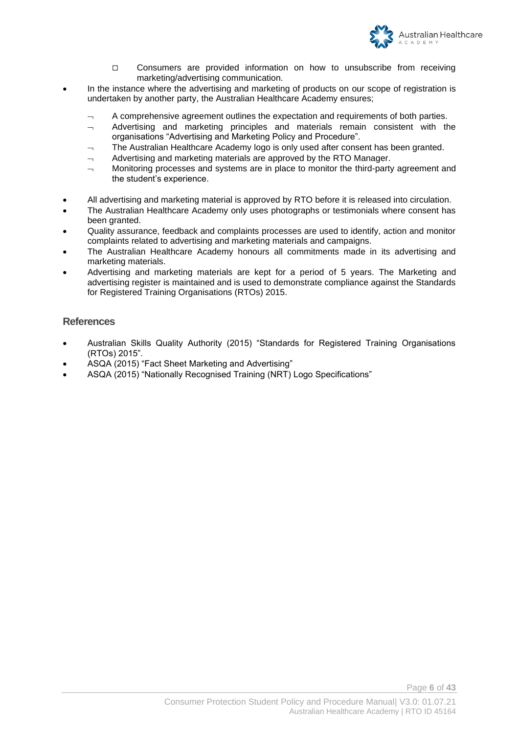

- Consumers are provided information on how to unsubscribe from receiving marketing/advertising communication.
- In the instance where the advertising and marketing of products on our scope of registration is undertaken by another party, the Australian Healthcare Academy ensures;
	- A comprehensive agreement outlines the expectation and requirements of both parties.
	- $\sim$  Advertising and marketing principles and materials remain consistent with the organisations "Advertising and Marketing Policy and Procedure".
	- The Australian Healthcare Academy logo is only used after consent has been granted.
	- $\overline{a}$  Advertising and marketing materials are approved by the RTO Manager.
	- $\lnot$  Monitoring processes and systems are in place to monitor the third-party agreement and the student's experience.
- All advertising and marketing material is approved by RTO before it is released into circulation.
- The Australian Healthcare Academy only uses photographs or testimonials where consent has been granted.
- Quality assurance, feedback and complaints processes are used to identify, action and monitor complaints related to advertising and marketing materials and campaigns.
- The Australian Healthcare Academy honours all commitments made in its advertising and marketing materials.
- Advertising and marketing materials are kept for a period of 5 years. The Marketing and advertising register is maintained and is used to demonstrate compliance against the Standards for Registered Training Organisations (RTOs) 2015.

#### **References**

- Australian Skills Quality Authority (2015) "Standards for Registered Training Organisations (RTOs) 2015".
- ASQA (2015) "Fact Sheet Marketing and Advertising"
- ASQA (2015) "Nationally Recognised Training (NRT) Logo Specifications"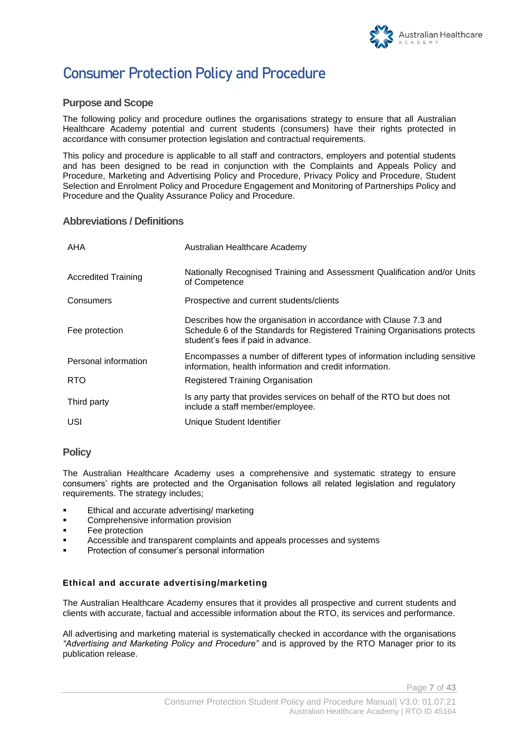

# **Consumer Protection Policy and Procedure**

#### **Purpose and Scope**

The following policy and procedure outlines the organisations strategy to ensure that all Australian Healthcare Academy potential and current students (consumers) have their rights protected in accordance with consumer protection legislation and contractual requirements.

This policy and procedure is applicable to all staff and contractors, employers and potential students and has been designed to be read in conjunction with the Complaints and Appeals Policy and Procedure, Marketing and Advertising Policy and Procedure, Privacy Policy and Procedure, Student Selection and Enrolment Policy and Procedure Engagement and Monitoring of Partnerships Policy and Procedure and the Quality Assurance Policy and Procedure.

#### **Abbreviations / Definitions**

| AHA                        | Australian Healthcare Academy                                                                                                                                                        |
|----------------------------|--------------------------------------------------------------------------------------------------------------------------------------------------------------------------------------|
| <b>Accredited Training</b> | Nationally Recognised Training and Assessment Qualification and/or Units<br>of Competence                                                                                            |
| Consumers                  | Prospective and current students/clients                                                                                                                                             |
| Fee protection             | Describes how the organisation in accordance with Clause 7.3 and<br>Schedule 6 of the Standards for Registered Training Organisations protects<br>student's fees if paid in advance. |
| Personal information       | Encompasses a number of different types of information including sensitive<br>information, health information and credit information.                                                |
| RTO                        | <b>Registered Training Organisation</b>                                                                                                                                              |
| Third party                | Is any party that provides services on behalf of the RTO but does not<br>include a staff member/employee.                                                                            |
| USI                        | Unique Student Identifier                                                                                                                                                            |

#### **Policy**

The Australian Healthcare Academy uses a comprehensive and systematic strategy to ensure consumers' rights are protected and the Organisation follows all related legislation and regulatory requirements. The strategy includes;

- **Ethical and accurate advertising/ marketing**
- Comprehensive information provision
- Fee protection
- Accessible and transparent complaints and appeals processes and systems
- Protection of consumer's personal information

#### **Ethical and accurate advertising/marketing**

The Australian Healthcare Academy ensures that it provides all prospective and current students and clients with accurate, factual and accessible information about the RTO, its services and performance.

All advertising and marketing material is systematically checked in accordance with the organisations *"Advertising and Marketing Policy and Procedure"* and is approved by the RTO Manager prior to its publication release.

Page **7** of **43**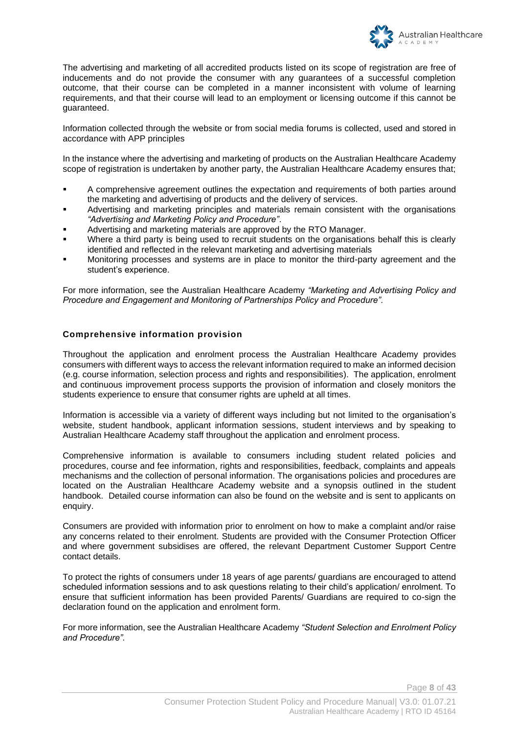

The advertising and marketing of all accredited products listed on its scope of registration are free of inducements and do not provide the consumer with any guarantees of a successful completion outcome, that their course can be completed in a manner inconsistent with volume of learning requirements, and that their course will lead to an employment or licensing outcome if this cannot be guaranteed.

Information collected through the website or from social media forums is collected, used and stored in accordance with APP principles

In the instance where the advertising and marketing of products on the Australian Healthcare Academy scope of registration is undertaken by another party, the Australian Healthcare Academy ensures that;

- A comprehensive agreement outlines the expectation and requirements of both parties around the marketing and advertising of products and the delivery of services.
- Advertising and marketing principles and materials remain consistent with the organisations *"Advertising and Marketing Policy and Procedure"*.
- Advertising and marketing materials are approved by the RTO Manager.
- Where a third party is being used to recruit students on the organisations behalf this is clearly identified and reflected in the relevant marketing and advertising materials
- Monitoring processes and systems are in place to monitor the third-party agreement and the student's experience.

For more information, see the Australian Healthcare Academy *"Marketing and Advertising Policy and Procedure and Engagement and Monitoring of Partnerships Policy and Procedure".*

#### **Comprehensive information provision**

Throughout the application and enrolment process the Australian Healthcare Academy provides consumers with different ways to access the relevant information required to make an informed decision (e.g. course information, selection process and rights and responsibilities). The application, enrolment and continuous improvement process supports the provision of information and closely monitors the students experience to ensure that consumer rights are upheld at all times.

Information is accessible via a variety of different ways including but not limited to the organisation's website, student handbook, applicant information sessions, student interviews and by speaking to Australian Healthcare Academy staff throughout the application and enrolment process.

Comprehensive information is available to consumers including student related policies and procedures, course and fee information, rights and responsibilities, feedback, complaints and appeals mechanisms and the collection of personal information. The organisations policies and procedures are located on the Australian Healthcare Academy website and a synopsis outlined in the student handbook. Detailed course information can also be found on the website and is sent to applicants on enquiry.

Consumers are provided with information prior to enrolment on how to make a complaint and/or raise any concerns related to their enrolment. Students are provided with the Consumer Protection Officer and where government subsidises are offered, the relevant Department Customer Support Centre contact details.

To protect the rights of consumers under 18 years of age parents/ guardians are encouraged to attend scheduled information sessions and to ask questions relating to their child's application/ enrolment. To ensure that sufficient information has been provided Parents/ Guardians are required to co-sign the declaration found on the application and enrolment form.

For more information, see the Australian Healthcare Academy *"Student Selection and Enrolment Policy and Procedure".*

Page **8** of **43**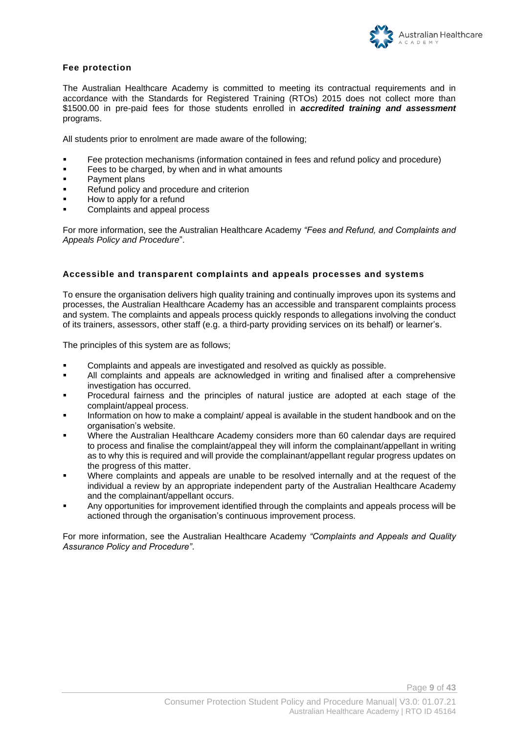

#### **Fee protection**

The Australian Healthcare Academy is committed to meeting its contractual requirements and in accordance with the Standards for Registered Training (RTOs) 2015 does not collect more than \$1500.00 in pre-paid fees for those students enrolled in *accredited training and assessment* programs.

All students prior to enrolment are made aware of the following;

- Fee protection mechanisms (information contained in fees and refund policy and procedure)
- Fees to be charged, by when and in what amounts
- Payment plans
- Refund policy and procedure and criterion
- How to apply for a refund
- Complaints and appeal process

For more information, see the Australian Healthcare Academy *"Fees and Refund, and Complaints and Appeals Policy and Procedure*".

#### **Accessible and transparent complaints and appeals processes and systems**

To ensure the organisation delivers high quality training and continually improves upon its systems and processes, the Australian Healthcare Academy has an accessible and transparent complaints process and system. The complaints and appeals process quickly responds to allegations involving the conduct of its trainers, assessors, other staff (e.g. a third-party providing services on its behalf) or learner's.

The principles of this system are as follows;

- Complaints and appeals are investigated and resolved as quickly as possible.
- All complaints and appeals are acknowledged in writing and finalised after a comprehensive investigation has occurred.
- Procedural fairness and the principles of natural justice are adopted at each stage of the complaint/appeal process.
- Information on how to make a complaint/ appeal is available in the student handbook and on the organisation's website.
- Where the Australian Healthcare Academy considers more than 60 calendar days are required to process and finalise the complaint/appeal they will inform the complainant/appellant in writing as to why this is required and will provide the complainant/appellant regular progress updates on the progress of this matter.
- Where complaints and appeals are unable to be resolved internally and at the request of the individual a review by an appropriate independent party of the Australian Healthcare Academy and the complainant/appellant occurs.
- Any opportunities for improvement identified through the complaints and appeals process will be actioned through the organisation's continuous improvement process.

For more information, see the Australian Healthcare Academy *"Complaints and Appeals and Quality Assurance Policy and Procedure"*.

Page **9** of **43**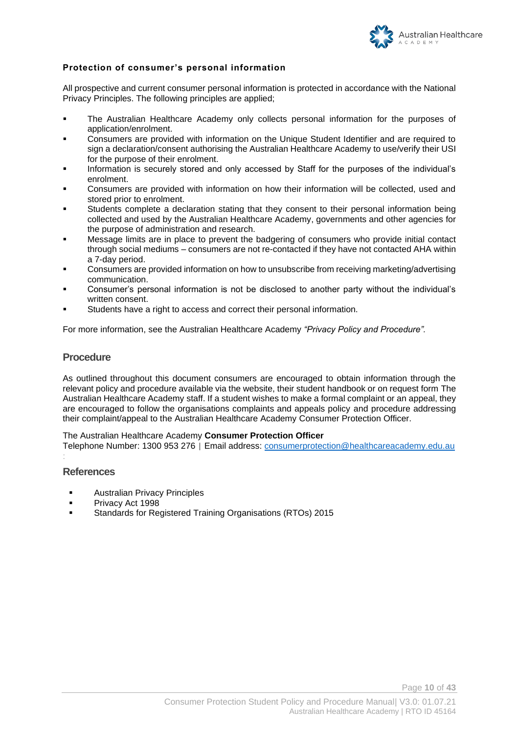

#### **Protection of consumer's personal information**

All prospective and current consumer personal information is protected in accordance with the National Privacy Principles. The following principles are applied;

- The Australian Healthcare Academy only collects personal information for the purposes of application/enrolment.
- Consumers are provided with information on the Unique Student Identifier and are required to sign a declaration/consent authorising the Australian Healthcare Academy to use/verify their USI for the purpose of their enrolment.
- Information is securely stored and only accessed by Staff for the purposes of the individual's enrolment.
- Consumers are provided with information on how their information will be collected, used and stored prior to enrolment.
- Students complete a declaration stating that they consent to their personal information being collected and used by the Australian Healthcare Academy, governments and other agencies for the purpose of administration and research.
- Message limits are in place to prevent the badgering of consumers who provide initial contact through social mediums – consumers are not re-contacted if they have not contacted AHA within a 7-day period.
- Consumers are provided information on how to unsubscribe from receiving marketing/advertising communication.
- Consumer's personal information is not be disclosed to another party without the individual's written consent.
- Students have a right to access and correct their personal information.

For more information, see the Australian Healthcare Academy *"Privacy Policy and Procedure".*

#### **Procedure**

As outlined throughout this document consumers are encouraged to obtain information through the relevant policy and procedure available via the website, their student handbook or on request form The Australian Healthcare Academy staff. If a student wishes to make a formal complaint or an appeal, they are encouraged to follow the organisations complaints and appeals policy and procedure addressing their complaint/appeal to the Australian Healthcare Academy Consumer Protection Officer.

The Australian Healthcare Academy **Consumer Protection Officer** 

Telephone Number: 1300 953 276 | Email address: [consumerprotection@healthcareacademy.edu.au](mailto:consumerprotection@healthcareacademy.edu.au)

#### **References**

:

- **■** Australian Privacy Principles
- Privacy Act 1998
- Standards for Registered Training Organisations (RTOs) 2015

Page **10** of **43**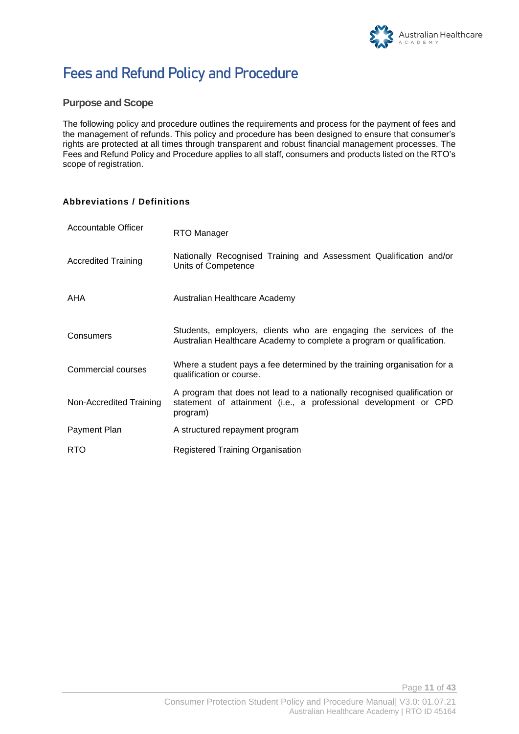

# **Fees and Refund Policy and Procedure**

#### **Purpose and Scope**

The following policy and procedure outlines the requirements and process for the payment of fees and the management of refunds. This policy and procedure has been designed to ensure that consumer's rights are protected at all times through transparent and robust financial management processes. The Fees and Refund Policy and Procedure applies to all staff, consumers and products listed on the RTO's scope of registration.

#### **Abbreviations / Definitions**

| Accountable Officer        | RTO Manager                                                                                                                                              |
|----------------------------|----------------------------------------------------------------------------------------------------------------------------------------------------------|
| <b>Accredited Training</b> | Nationally Recognised Training and Assessment Qualification and/or<br>Units of Competence                                                                |
| AHA                        | Australian Healthcare Academy                                                                                                                            |
| Consumers                  | Students, employers, clients who are engaging the services of the<br>Australian Healthcare Academy to complete a program or qualification.               |
| Commercial courses         | Where a student pays a fee determined by the training organisation for a<br>qualification or course.                                                     |
| Non-Accredited Training    | A program that does not lead to a nationally recognised qualification or<br>statement of attainment (i.e., a professional development or CPD<br>program) |
| Payment Plan               | A structured repayment program                                                                                                                           |
| <b>RTO</b>                 | Registered Training Organisation                                                                                                                         |

Page **11** of **43**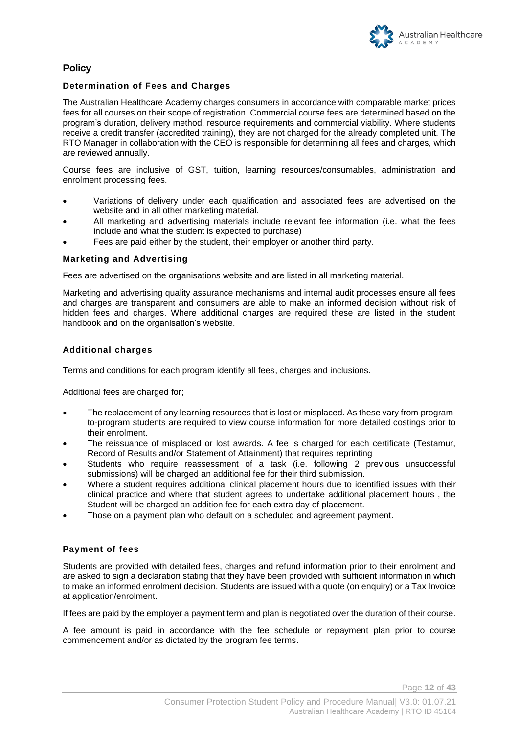#### **Policy**

#### **Determination of Fees and Charges**

The Australian Healthcare Academy charges consumers in accordance with comparable market prices fees for all courses on their scope of registration. Commercial course fees are determined based on the program's duration, delivery method, resource requirements and commercial viability. Where students receive a credit transfer (accredited training), they are not charged for the already completed unit. The RTO Manager in collaboration with the CEO is responsible for determining all fees and charges, which are reviewed annually.

Course fees are inclusive of GST, tuition, learning resources/consumables, administration and enrolment processing fees.

- Variations of delivery under each qualification and associated fees are advertised on the website and in all other marketing material.
- All marketing and advertising materials include relevant fee information (i.e. what the fees include and what the student is expected to purchase)
- Fees are paid either by the student, their employer or another third party.

#### **Marketing and Advertising**

Fees are advertised on the organisations website and are listed in all marketing material.

Marketing and advertising quality assurance mechanisms and internal audit processes ensure all fees and charges are transparent and consumers are able to make an informed decision without risk of hidden fees and charges. Where additional charges are required these are listed in the student handbook and on the organisation's website.

#### **Additional charges**

Terms and conditions for each program identify all fees, charges and inclusions.

Additional fees are charged for;

- The replacement of any learning resources that is lost or misplaced. As these vary from programto-program students are required to view course information for more detailed costings prior to their enrolment.
- The reissuance of misplaced or lost awards. A fee is charged for each certificate (Testamur, Record of Results and/or Statement of Attainment) that requires reprinting
- Students who require reassessment of a task (i.e. following 2 previous unsuccessful submissions) will be charged an additional fee for their third submission.
- Where a student requires additional clinical placement hours due to identified issues with their clinical practice and where that student agrees to undertake additional placement hours , the Student will be charged an addition fee for each extra day of placement.
- Those on a payment plan who default on a scheduled and agreement payment.

#### **Payment of fees**

Students are provided with detailed fees, charges and refund information prior to their enrolment and are asked to sign a declaration stating that they have been provided with sufficient information in which to make an informed enrolment decision. Students are issued with a quote (on enquiry) or a Tax Invoice at application/enrolment.

If fees are paid by the employer a payment term and plan is negotiated over the duration of their course.

A fee amount is paid in accordance with the fee schedule or repayment plan prior to course commencement and/or as dictated by the program fee terms.

Page **12** of **43**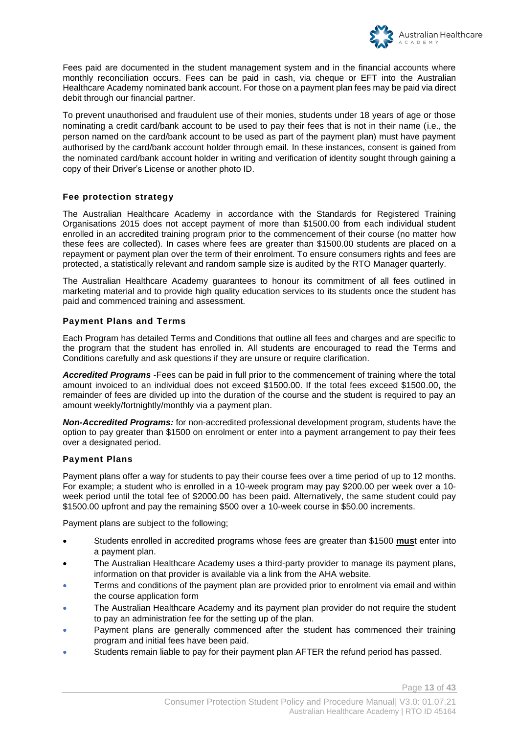

Fees paid are documented in the student management system and in the financial accounts where monthly reconciliation occurs. Fees can be paid in cash, via cheque or EFT into the Australian Healthcare Academy nominated bank account. For those on a payment plan fees may be paid via direct debit through our financial partner.

To prevent unauthorised and fraudulent use of their monies, students under 18 years of age or those nominating a credit card/bank account to be used to pay their fees that is not in their name (i.e., the person named on the card/bank account to be used as part of the payment plan) must have payment authorised by the card/bank account holder through email. In these instances, consent is gained from the nominated card/bank account holder in writing and verification of identity sought through gaining a copy of their Driver's License or another photo ID.

#### **Fee protection strategy**

The Australian Healthcare Academy in accordance with the Standards for Registered Training Organisations 2015 does not accept payment of more than \$1500.00 from each individual student enrolled in an accredited training program prior to the commencement of their course (no matter how these fees are collected). In cases where fees are greater than \$1500.00 students are placed on a repayment or payment plan over the term of their enrolment. To ensure consumers rights and fees are protected, a statistically relevant and random sample size is audited by the RTO Manager quarterly.

The Australian Healthcare Academy guarantees to honour its commitment of all fees outlined in marketing material and to provide high quality education services to its students once the student has paid and commenced training and assessment.

#### **Payment Plans and Terms**

Each Program has detailed Terms and Conditions that outline all fees and charges and are specific to the program that the student has enrolled in. All students are encouraged to read the Terms and Conditions carefully and ask questions if they are unsure or require clarification.

*Accredited Programs* -Fees can be paid in full prior to the commencement of training where the total amount invoiced to an individual does not exceed \$1500.00. If the total fees exceed \$1500.00, the remainder of fees are divided up into the duration of the course and the student is required to pay an amount weekly/fortnightly/monthly via a payment plan.

*Non-Accredited Programs:* for non-accredited professional development program, students have the option to pay greater than \$1500 on enrolment or enter into a payment arrangement to pay their fees over a designated period.

#### **Payment Plans**

Payment plans offer a way for students to pay their course fees over a time period of up to 12 months. For example; a student who is enrolled in a 10-week program may pay \$200.00 per week over a 10 week period until the total fee of \$2000.00 has been paid. Alternatively, the same student could pay \$1500.00 upfront and pay the remaining \$500 over a 10-week course in \$50.00 increments.

Payment plans are subject to the following;

- Students enrolled in accredited programs whose fees are greater than \$1500 **mus**t enter into a payment plan.
- The Australian Healthcare Academy uses a third-party provider to manage its payment plans, information on that provider is available via a link from the AHA website.
- Terms and conditions of the payment plan are provided prior to enrolment via email and within the course application form
- The Australian Healthcare Academy and its payment plan provider do not require the student to pay an administration fee for the setting up of the plan.
- Payment plans are generally commenced after the student has commenced their training program and initial fees have been paid.
- Students remain liable to pay for their payment plan AFTER the refund period has passed.

Page **13** of **43**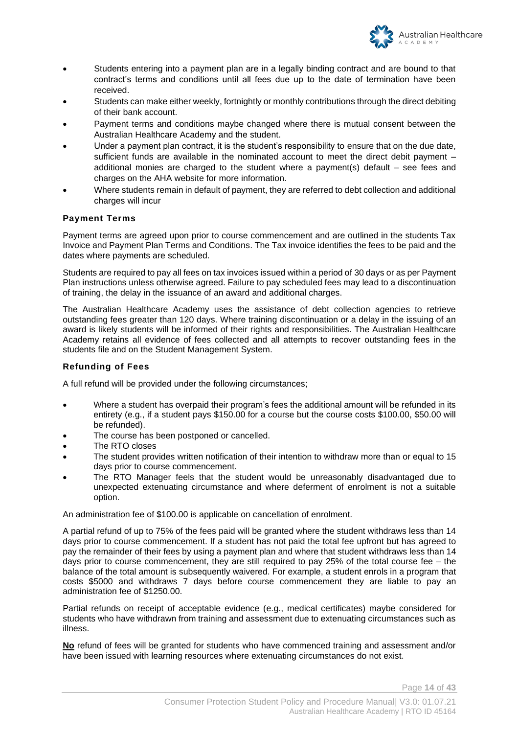

- Students entering into a payment plan are in a legally binding contract and are bound to that contract's terms and conditions until all fees due up to the date of termination have been received.
- Students can make either weekly, fortnightly or monthly contributions through the direct debiting of their bank account.
- Payment terms and conditions maybe changed where there is mutual consent between the Australian Healthcare Academy and the student.
- Under a payment plan contract, it is the student's responsibility to ensure that on the due date, sufficient funds are available in the nominated account to meet the direct debit payment – additional monies are charged to the student where a payment(s) default – see fees and charges on the AHA website for more information.
- Where students remain in default of payment, they are referred to debt collection and additional charges will incur

#### **Payment Terms**

Payment terms are agreed upon prior to course commencement and are outlined in the students Tax Invoice and Payment Plan Terms and Conditions. The Tax invoice identifies the fees to be paid and the dates where payments are scheduled.

Students are required to pay all fees on tax invoices issued within a period of 30 days or as per Payment Plan instructions unless otherwise agreed. Failure to pay scheduled fees may lead to a discontinuation of training, the delay in the issuance of an award and additional charges.

The Australian Healthcare Academy uses the assistance of debt collection agencies to retrieve outstanding fees greater than 120 days. Where training discontinuation or a delay in the issuing of an award is likely students will be informed of their rights and responsibilities. The Australian Healthcare Academy retains all evidence of fees collected and all attempts to recover outstanding fees in the students file and on the Student Management System.

#### **Refunding of Fees**

A full refund will be provided under the following circumstances;

- Where a student has overpaid their program's fees the additional amount will be refunded in its entirety (e.g., if a student pays \$150.00 for a course but the course costs \$100.00, \$50.00 will be refunded).
- The course has been postponed or cancelled.
- The RTO closes
- The student provides written notification of their intention to withdraw more than or equal to 15 days prior to course commencement.
- The RTO Manager feels that the student would be unreasonably disadvantaged due to unexpected extenuating circumstance and where deferment of enrolment is not a suitable option.

An administration fee of \$100.00 is applicable on cancellation of enrolment.

A partial refund of up to 75% of the fees paid will be granted where the student withdraws less than 14 days prior to course commencement. If a student has not paid the total fee upfront but has agreed to pay the remainder of their fees by using a payment plan and where that student withdraws less than 14 days prior to course commencement, they are still required to pay 25% of the total course fee – the balance of the total amount is subsequently waivered. For example, a student enrols in a program that costs \$5000 and withdraws 7 days before course commencement they are liable to pay an administration fee of \$1250.00.

Partial refunds on receipt of acceptable evidence (e.g., medical certificates) maybe considered for students who have withdrawn from training and assessment due to extenuating circumstances such as illness.

**No** refund of fees will be granted for students who have commenced training and assessment and/or have been issued with learning resources where extenuating circumstances do not exist.

Page **14** of **43**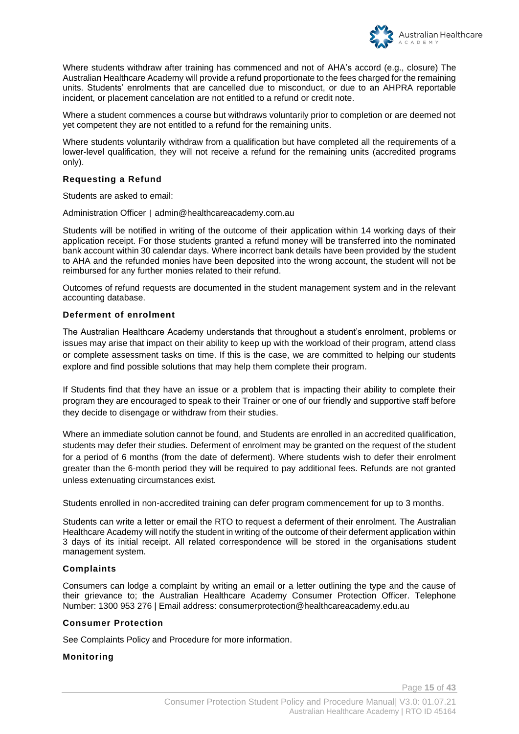

Where students withdraw after training has commenced and not of AHA's accord (e.g., closure) The Australian Healthcare Academy will provide a refund proportionate to the fees charged for the remaining units. Students' enrolments that are cancelled due to misconduct, or due to an AHPRA reportable incident, or placement cancelation are not entitled to a refund or credit note.

Where a student commences a course but withdraws voluntarily prior to completion or are deemed not yet competent they are not entitled to a refund for the remaining units.

Where students voluntarily withdraw from a qualification but have completed all the requirements of a lower-level qualification, they will not receive a refund for the remaining units (accredited programs only).

#### **Requesting a Refund**

Students are asked to email:

Administration Officer | admin@healthcareacademy.com.au

Students will be notified in writing of the outcome of their application within 14 working days of their application receipt. For those students granted a refund money will be transferred into the nominated bank account within 30 calendar days. Where incorrect bank details have been provided by the student to AHA and the refunded monies have been deposited into the wrong account, the student will not be reimbursed for any further monies related to their refund.

Outcomes of refund requests are documented in the student management system and in the relevant accounting database.

#### **Deferment of enrolment**

The Australian Healthcare Academy understands that throughout a student's enrolment, problems or issues may arise that impact on their ability to keep up with the workload of their program, attend class or complete assessment tasks on time. If this is the case, we are committed to helping our students explore and find possible solutions that may help them complete their program.

If Students find that they have an issue or a problem that is impacting their ability to complete their program they are encouraged to speak to their Trainer or one of our friendly and supportive staff before they decide to disengage or withdraw from their studies.

Where an immediate solution cannot be found, and Students are enrolled in an accredited qualification, students may defer their studies. Deferment of enrolment may be granted on the request of the student for a period of 6 months (from the date of deferment). Where students wish to defer their enrolment greater than the 6-month period they will be required to pay additional fees. Refunds are not granted unless extenuating circumstances exist.

Students enrolled in non-accredited training can defer program commencement for up to 3 months.

Students can write a letter or email the RTO to request a deferment of their enrolment. The Australian Healthcare Academy will notify the student in writing of the outcome of their deferment application within 3 days of its initial receipt. All related correspondence will be stored in the organisations student management system.

#### **Complaints**

Consumers can lodge a complaint by writing an email or a letter outlining the type and the cause of their grievance to; the Australian Healthcare Academy Consumer Protection Officer. Telephone Number: 1300 953 276 | Email address: consumerprotection@healthcareacademy.edu.au

#### **Consumer Protection**

See Complaints Policy and Procedure for more information.

#### **Monitoring**

Page **15** of **43**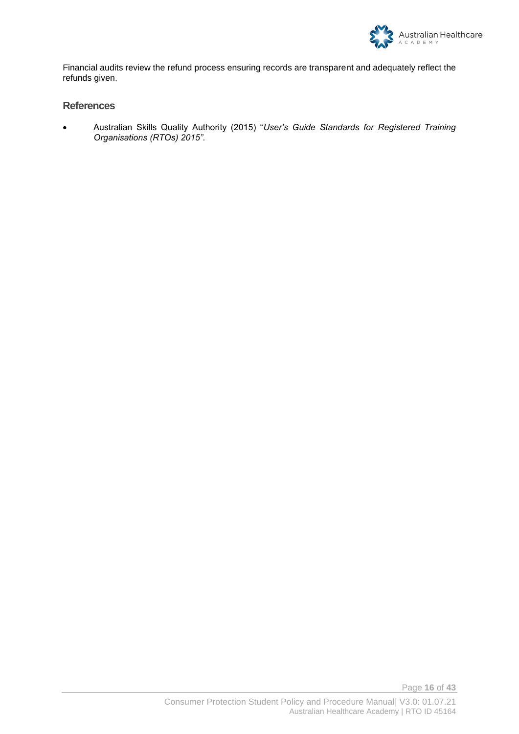

Financial audits review the refund process ensuring records are transparent and adequately reflect the refunds given.

#### **References**

• Australian Skills Quality Authority (2015) "*User's Guide Standards for Registered Training Organisations (RTOs) 2015".*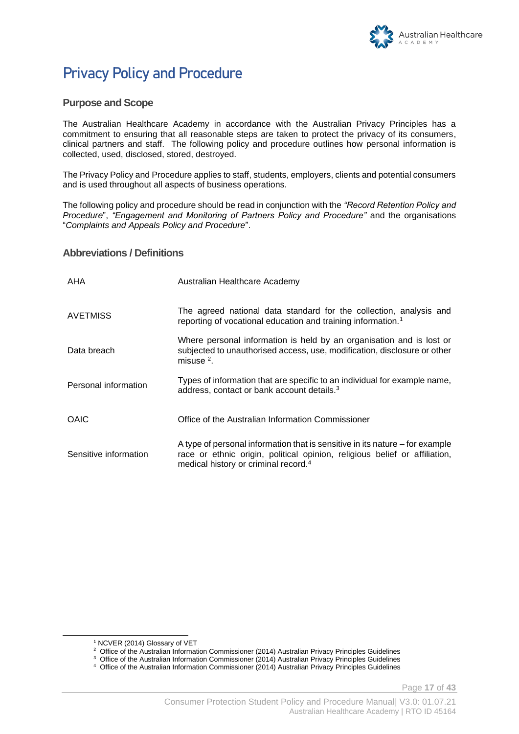

# **Privacy Policy and Procedure**

#### **Purpose and Scope**

The Australian Healthcare Academy in accordance with the Australian Privacy Principles has a commitment to ensuring that all reasonable steps are taken to protect the privacy of its consumers, clinical partners and staff. The following policy and procedure outlines how personal information is collected, used, disclosed, stored, destroyed.

The Privacy Policy and Procedure applies to staff, students, employers, clients and potential consumers and is used throughout all aspects of business operations.

The following policy and procedure should be read in conjunction with the *"Record Retention Policy and Procedure*", *"Engagement and Monitoring of Partners Policy and Procedure"* and the organisations "*Complaints and Appeals Policy and Procedure*".

#### **Abbreviations / Definitions**

| AHA                   | Australian Healthcare Academy                                                                                                                                                                                  |
|-----------------------|----------------------------------------------------------------------------------------------------------------------------------------------------------------------------------------------------------------|
| <b>AVETMISS</b>       | The agreed national data standard for the collection, analysis and<br>reporting of vocational education and training information. <sup>1</sup>                                                                 |
| Data breach           | Where personal information is held by an organisation and is lost or<br>subjected to unauthorised access, use, modification, disclosure or other<br>misuse $2$ .                                               |
| Personal information  | Types of information that are specific to an individual for example name,<br>address, contact or bank account details. <sup>3</sup>                                                                            |
| OAIC                  | Office of the Australian Information Commissioner                                                                                                                                                              |
| Sensitive information | A type of personal information that is sensitive in its nature – for example<br>race or ethnic origin, political opinion, religious belief or affiliation,<br>medical history or criminal record. <sup>4</sup> |

Page **17** of **43**

<sup>1</sup> NCVER (2014) Glossary of VET

<sup>&</sup>lt;sup>2</sup> Office of the Australian Information Commissioner (2014) Australian Privacy Principles Guidelines

<sup>&</sup>lt;sup>3</sup> Office of the Australian Information Commissioner (2014) Australian Privacy Principles Guidelines

<sup>4</sup> Office of the Australian Information Commissioner (2014) Australian Privacy Principles Guidelines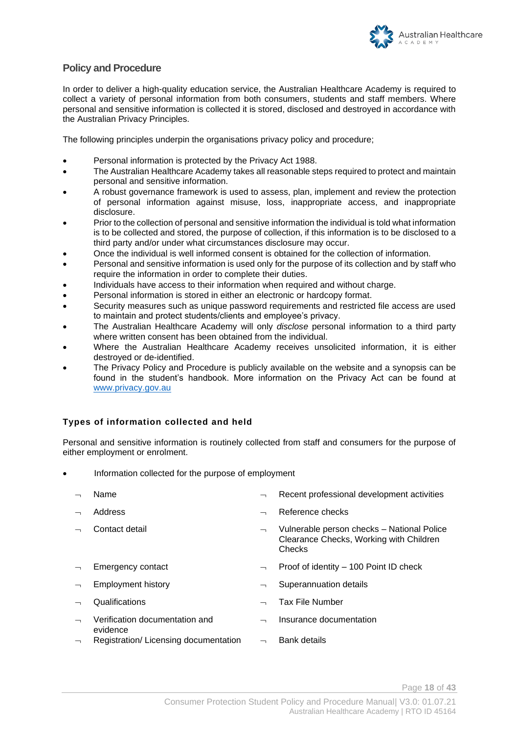

#### **Policy and Procedure**

In order to deliver a high-quality education service, the Australian Healthcare Academy is required to collect a variety of personal information from both consumers, students and staff members. Where personal and sensitive information is collected it is stored, disclosed and destroyed in accordance with the Australian Privacy Principles.

The following principles underpin the organisations privacy policy and procedure;

- Personal information is protected by the Privacy Act 1988.
- The Australian Healthcare Academy takes all reasonable steps required to protect and maintain personal and sensitive information.
- A robust governance framework is used to assess, plan, implement and review the protection of personal information against misuse, loss, inappropriate access, and inappropriate disclosure.
- Prior to the collection of personal and sensitive information the individual is told what information is to be collected and stored, the purpose of collection, if this information is to be disclosed to a third party and/or under what circumstances disclosure may occur.
- Once the individual is well informed consent is obtained for the collection of information.
- Personal and sensitive information is used only for the purpose of its collection and by staff who require the information in order to complete their duties.
- Individuals have access to their information when required and without charge.
- Personal information is stored in either an electronic or hardcopy format.
- Security measures such as unique password requirements and restricted file access are used to maintain and protect students/clients and employee's privacy.
- The Australian Healthcare Academy will only *disclose* personal information to a third party where written consent has been obtained from the individual.
- Where the Australian Healthcare Academy receives unsolicited information, it is either destroyed or de-identified.
- The Privacy Policy and Procedure is publicly available on the website and a synopsis can be found in the student's handbook. More information on the Privacy Act can be found at [www.privacy.gov.au](http://www.privacy.gov.au/)

#### **Types of information collected and held**

Personal and sensitive information is routinely collected from staff and consumers for the purpose of either employment or enrolment.

- Information collected for the purpose of employment
	- $\Box$  Name  $\Box$  Recent professional development activities Address and the contract of the Reference checks Contact detail Vulnerable person checks – National Police Clearance Checks, Working with Children

**Checks** 

- Emergency contact  $\Box$  Proof of identity 100 Point ID check
- $\lnot$  Employment history Employment history  $\lnot$  Superannuation details
- $\lnot$  Qualifications  $\lnot$  Tax File Number
- Verification documentation and evidence
- Registration/Licensing documentation  $\Box$  Bank details

Page **18** of **43**

Insurance documentation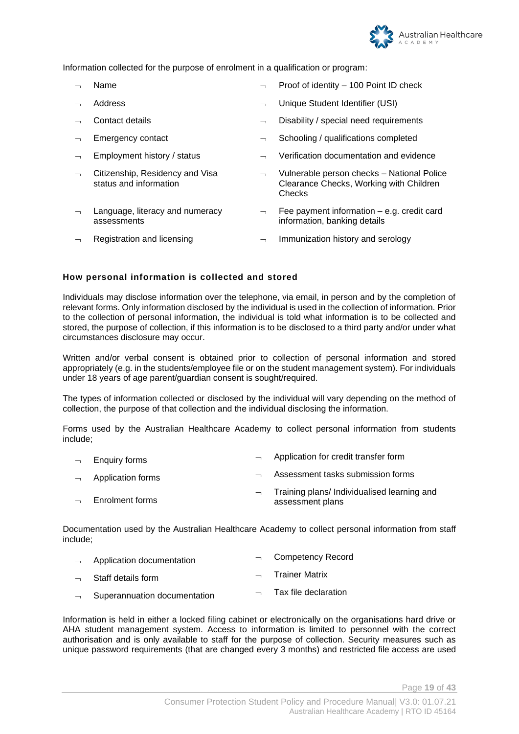

Information collected for the purpose of enrolment in a qualification or program:

- 
- 
- 
- 
- 
- Citizenship, Residency and Visa status and information
- Language, literacy and numeracy assessments
- Name **Name Proof of identity 100 Point ID check**
- Address Unique Student Identifier (USI)
- Contact details Disability / special need requirements
- $\Box$  Emergency contact  $\Box$  Schooling / qualifications completed
	- Employment history / status  $\qquad \qquad \neg \qquad$  Verification documentation and evidence
		- Vulnerable person checks National Police Clearance Checks, Working with Children **Checks**
		- Fee payment information e.g. credit card information, banking details
	- Registration and licensing  $\overline{\phantom{a}}$  **Immunization history and serology**

#### **How personal information is collected and stored**

Individuals may disclose information over the telephone, via email, in person and by the completion of relevant forms. Only information disclosed by the individual is used in the collection of information. Prior to the collection of personal information, the individual is told what information is to be collected and stored, the purpose of collection, if this information is to be disclosed to a third party and/or under what circumstances disclosure may occur.

Written and/or verbal consent is obtained prior to collection of personal information and stored appropriately (e.g. in the students/employee file or on the student management system). For individuals under 18 years of age parent/guardian consent is sought/required.

The types of information collected or disclosed by the individual will vary depending on the method of collection, the purpose of that collection and the individual disclosing the information.

Forms used by the Australian Healthcare Academy to collect personal information from students include;

- $\overline{\phantom{a}}$  Enquiry forms **Application**  $\overline{\phantom{a}}$  Application for credit transfer form Application forms **Assessment** tasks submission forms  $\overline{\phantom{a}}$  Training plans/ Individualised learning and
- Enrolment forms assessment plans

Documentation used by the Australian Healthcare Academy to collect personal information from staff include;

- Application documentation **Competency Record**
- Staff details form  $\Box$  Trainer Matrix
- Superannuation documentation  $\Box$   $\Box$  Tax file declaration

Information is held in either a locked filing cabinet or electronically on the organisations hard drive or AHA student management system. Access to information is limited to personnel with the correct authorisation and is only available to staff for the purpose of collection. Security measures such as unique password requirements (that are changed every 3 months) and restricted file access are used

Page **19** of **43**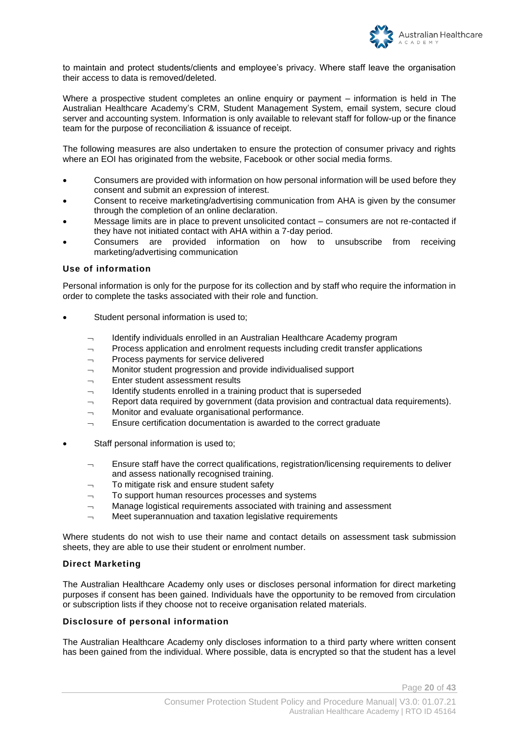

to maintain and protect students/clients and employee's privacy. Where staff leave the organisation their access to data is removed/deleted.

Where a prospective student completes an online enquiry or payment – information is held in The Australian Healthcare Academy's CRM, Student Management System, email system, secure cloud server and accounting system. Information is only available to relevant staff for follow-up or the finance team for the purpose of reconciliation & issuance of receipt.

The following measures are also undertaken to ensure the protection of consumer privacy and rights where an EOI has originated from the website, Facebook or other social media forms.

- Consumers are provided with information on how personal information will be used before they consent and submit an expression of interest.
- Consent to receive marketing/advertising communication from AHA is given by the consumer through the completion of an online declaration.
- Message limits are in place to prevent unsolicited contact consumers are not re-contacted if they have not initiated contact with AHA within a 7-day period.
- Consumers are provided information on how to unsubscribe from receiving marketing/advertising communication

#### **Use of information**

Personal information is only for the purpose for its collection and by staff who require the information in order to complete the tasks associated with their role and function.

- Student personal information is used to;
	- $\lnot$  Identify individuals enrolled in an Australian Healthcare Academy program
	- $\lnot$  Process application and enrolment requests including credit transfer applications
	- $\lnot$  Process payments for service delivered
	- $\lnot$  Monitor student progression and provide individualised support
	- Enter student assessment results
	- Identify students enrolled in a training product that is superseded
	- $\Box$  Report data required by government (data provision and contractual data requirements).
	- $\lnot$  Monitor and evaluate organisational performance.
	- $\Box$  Ensure certification documentation is awarded to the correct graduate
- Staff personal information is used to;
	- Ensure staff have the correct qualifications, registration/licensing requirements to deliver and assess nationally recognised training.
	- $\lnot$  To mitigate risk and ensure student safety
	- $\lnot$  To support human resources processes and systems
	- $\lnot$  Manage logistical requirements associated with training and assessment
	- $\lnot$  Meet superannuation and taxation legislative requirements

Where students do not wish to use their name and contact details on assessment task submission sheets, they are able to use their student or enrolment number.

#### **Direct Marketing**

The Australian Healthcare Academy only uses or discloses personal information for direct marketing purposes if consent has been gained. Individuals have the opportunity to be removed from circulation or subscription lists if they choose not to receive organisation related materials.

#### **Disclosure of personal information**

The Australian Healthcare Academy only discloses information to a third party where written consent has been gained from the individual. Where possible, data is encrypted so that the student has a level

Page **20** of **43**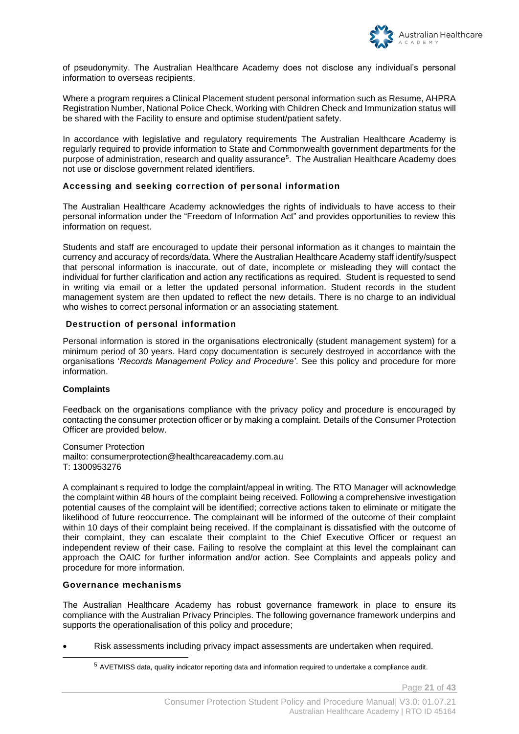

of pseudonymity. The Australian Healthcare Academy does not disclose any individual's personal information to overseas recipients.

Where a program requires a Clinical Placement student personal information such as Resume, AHPRA Registration Number, National Police Check, Working with Children Check and Immunization status will be shared with the Facility to ensure and optimise student/patient safety.

In accordance with legislative and regulatory requirements The Australian Healthcare Academy is regularly required to provide information to State and Commonwealth government departments for the purpose of administration, research and quality assurance<sup>5</sup>. The Australian Healthcare Academy does not use or disclose government related identifiers.

#### **Accessing and seeking correction of personal information**

The Australian Healthcare Academy acknowledges the rights of individuals to have access to their personal information under the "Freedom of Information Act" and provides opportunities to review this information on request.

Students and staff are encouraged to update their personal information as it changes to maintain the currency and accuracy of records/data. Where the Australian Healthcare Academy staff identify/suspect that personal information is inaccurate, out of date, incomplete or misleading they will contact the individual for further clarification and action any rectifications as required. Student is requested to send in writing via email or a letter the updated personal information. Student records in the student management system are then updated to reflect the new details. There is no charge to an individual who wishes to correct personal information or an associating statement.

#### **Destruction of personal information**

Personal information is stored in the organisations electronically (student management system) for a minimum period of 30 years. Hard copy documentation is securely destroyed in accordance with the organisations '*Records Management Policy and Procedure'*. See this policy and procedure for more information.

#### **Complaints**

Feedback on the organisations compliance with the privacy policy and procedure is encouraged by contacting the consumer protection officer or by making a complaint. Details of the Consumer Protection Officer are provided below.

Consumer Protection mailto: consumerprotection@healthcareacademy.com.au T: 1300953276

A complainant s required to lodge the complaint/appeal in writing. The RTO Manager will acknowledge the complaint within 48 hours of the complaint being received. Following a comprehensive investigation potential causes of the complaint will be identified; corrective actions taken to eliminate or mitigate the likelihood of future reoccurrence. The complainant will be informed of the outcome of their complaint within 10 days of their complaint being received. If the complainant is dissatisfied with the outcome of their complaint, they can escalate their complaint to the Chief Executive Officer or request an independent review of their case. Failing to resolve the complaint at this level the complainant can approach the OAIC for further information and/or action. See Complaints and appeals policy and procedure for more information.

#### **Governance mechanisms**

The Australian Healthcare Academy has robust governance framework in place to ensure its compliance with the Australian Privacy Principles. The following governance framework underpins and supports the operationalisation of this policy and procedure;

• Risk assessments including privacy impact assessments are undertaken when required.

Page **21** of **43**

<sup>5</sup> AVETMISS data, quality indicator reporting data and information required to undertake a compliance audit.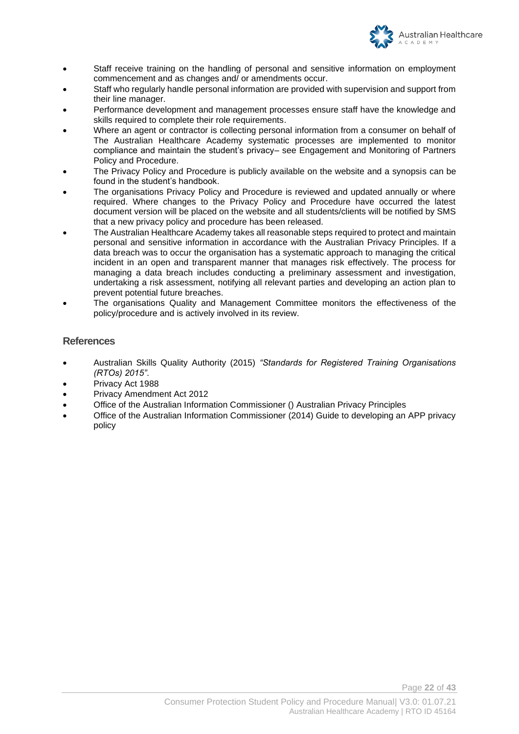

- Staff receive training on the handling of personal and sensitive information on employment commencement and as changes and/ or amendments occur.
- Staff who regularly handle personal information are provided with supervision and support from their line manager.
- Performance development and management processes ensure staff have the knowledge and skills required to complete their role requirements.
- Where an agent or contractor is collecting personal information from a consumer on behalf of The Australian Healthcare Academy systematic processes are implemented to monitor compliance and maintain the student's privacy– see Engagement and Monitoring of Partners Policy and Procedure.
- The Privacy Policy and Procedure is publicly available on the website and a synopsis can be found in the student's handbook.
- The organisations Privacy Policy and Procedure is reviewed and updated annually or where required. Where changes to the Privacy Policy and Procedure have occurred the latest document version will be placed on the website and all students/clients will be notified by SMS that a new privacy policy and procedure has been released.
- The Australian Healthcare Academy takes all reasonable steps required to protect and maintain personal and sensitive information in accordance with the Australian Privacy Principles. If a data breach was to occur the organisation has a systematic approach to managing the critical incident in an open and transparent manner that manages risk effectively. The process for managing a data breach includes conducting a preliminary assessment and investigation, undertaking a risk assessment, notifying all relevant parties and developing an action plan to prevent potential future breaches.
- The organisations Quality and Management Committee monitors the effectiveness of the policy/procedure and is actively involved in its review.

#### **References**

- Australian Skills Quality Authority (2015) *"Standards for Registered Training Organisations (RTOs) 2015"*.
- Privacy Act 1988
- Privacy Amendment Act 2012
- Office of the Australian Information Commissioner () Australian Privacy Principles
- Office of the Australian Information Commissioner (2014) Guide to developing an APP privacy policy

Page **22** of **43**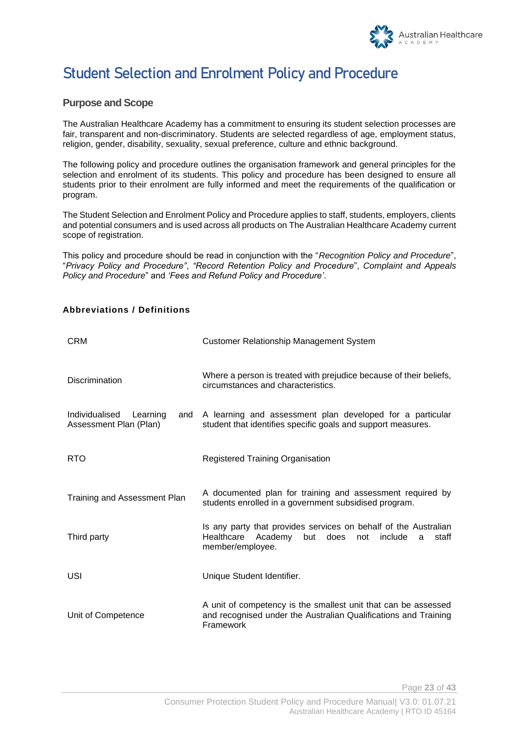

# **Student Selection and Enrolment Policy and Procedure**

#### **Purpose and Scope**

The Australian Healthcare Academy has a commitment to ensuring its student selection processes are fair, transparent and non-discriminatory. Students are selected regardless of age, employment status, religion, gender, disability, sexuality, sexual preference, culture and ethnic background.

The following policy and procedure outlines the organisation framework and general principles for the selection and enrolment of its students. This policy and procedure has been designed to ensure all students prior to their enrolment are fully informed and meet the requirements of the qualification or program.

The Student Selection and Enrolment Policy and Procedure applies to staff, students, employers, clients and potential consumers and is used across all products on The Australian Healthcare Academy current scope of registration.

This policy and procedure should be read in conjunction with the "*Recognition Policy and Procedure*", "*Privacy Policy and Procedure"*, *"Record Retention Policy and Procedure*", *Complaint and Appeals Policy and Procedure*" and *'Fees and Refund Policy and Procedure'*.

#### **Abbreviations / Definitions**

| <b>CRM</b>                                                  | <b>Customer Relationship Management System</b>                                                                                                              |
|-------------------------------------------------------------|-------------------------------------------------------------------------------------------------------------------------------------------------------------|
| <b>Discrimination</b>                                       | Where a person is treated with prejudice because of their beliefs,<br>circumstances and characteristics.                                                    |
| Individualised<br>Learning<br>and<br>Assessment Plan (Plan) | A learning and assessment plan developed for a particular<br>student that identifies specific goals and support measures.                                   |
| <b>RTO</b>                                                  | Registered Training Organisation                                                                                                                            |
| Training and Assessment Plan                                | A documented plan for training and assessment required by<br>students enrolled in a government subsidised program.                                          |
| Third party                                                 | Is any party that provides services on behalf of the Australian<br>Academy<br>staff<br>Healthcare<br>but<br>does<br>include<br>not<br>a<br>member/employee. |
| USI                                                         | Unique Student Identifier.                                                                                                                                  |
| Unit of Competence                                          | A unit of competency is the smallest unit that can be assessed<br>and recognised under the Australian Qualifications and Training<br>Framework              |

Page **23** of **43**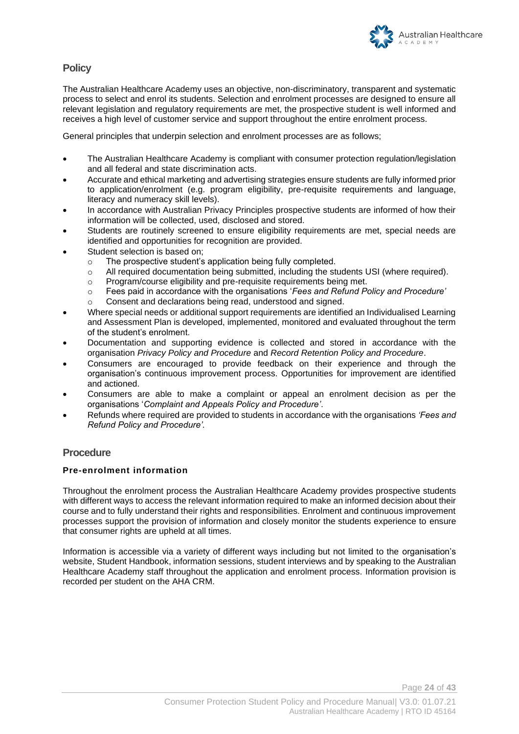

#### **Policy**

The Australian Healthcare Academy uses an objective, non-discriminatory, transparent and systematic process to select and enrol its students. Selection and enrolment processes are designed to ensure all relevant legislation and regulatory requirements are met, the prospective student is well informed and receives a high level of customer service and support throughout the entire enrolment process.

General principles that underpin selection and enrolment processes are as follows;

- The Australian Healthcare Academy is compliant with consumer protection regulation/legislation and all federal and state discrimination acts.
- Accurate and ethical marketing and advertising strategies ensure students are fully informed prior to application/enrolment (e.g. program eligibility, pre-requisite requirements and language, literacy and numeracy skill levels).
- In accordance with Australian Privacy Principles prospective students are informed of how their information will be collected, used, disclosed and stored.
- Students are routinely screened to ensure eligibility requirements are met, special needs are identified and opportunities for recognition are provided.
- Student selection is based on;
	- o The prospective student's application being fully completed.
	- o All required documentation being submitted, including the students USI (where required).
	- o Program/course eligibility and pre-requisite requirements being met.
	- o Fees paid in accordance with the organisations '*Fees and Refund Policy and Procedure'*
	- o Consent and declarations being read, understood and signed.
- Where special needs or additional support requirements are identified an Individualised Learning and Assessment Plan is developed, implemented, monitored and evaluated throughout the term of the student's enrolment.
- Documentation and supporting evidence is collected and stored in accordance with the organisation *Privacy Policy and Procedure* and *Record Retention Policy and Procedure*.
- Consumers are encouraged to provide feedback on their experience and through the organisation's continuous improvement process. Opportunities for improvement are identified and actioned.
- Consumers are able to make a complaint or appeal an enrolment decision as per the organisations '*Complaint and Appeals Policy and Procedure'*.
- Refunds where required are provided to students in accordance with the organisations *'Fees and Refund Policy and Procedure'.*

#### **Procedure**

#### **Pre-enrolment information**

Throughout the enrolment process the Australian Healthcare Academy provides prospective students with different ways to access the relevant information required to make an informed decision about their course and to fully understand their rights and responsibilities. Enrolment and continuous improvement processes support the provision of information and closely monitor the students experience to ensure that consumer rights are upheld at all times.

Information is accessible via a variety of different ways including but not limited to the organisation's website, Student Handbook, information sessions, student interviews and by speaking to the Australian Healthcare Academy staff throughout the application and enrolment process. Information provision is recorded per student on the AHA CRM.

Page **24** of **43**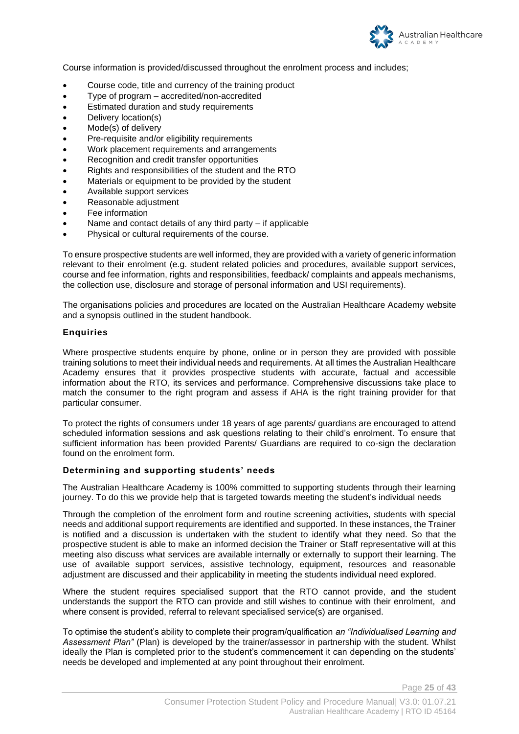

Course information is provided/discussed throughout the enrolment process and includes;

- Course code, title and currency of the training product
- Type of program accredited/non-accredited
- Estimated duration and study requirements
- Delivery location(s)
- Mode(s) of delivery
- Pre-requisite and/or eligibility requirements
- Work placement requirements and arrangements
- Recognition and credit transfer opportunities
- Rights and responsibilities of the student and the RTO
- Materials or equipment to be provided by the student
- Available support services
- Reasonable adjustment
- Fee information
- Name and contact details of any third party  $-$  if applicable
- Physical or cultural requirements of the course.

To ensure prospective students are well informed, they are provided with a variety of generic information relevant to their enrolment (e.g. student related policies and procedures, available support services, course and fee information, rights and responsibilities, feedback/ complaints and appeals mechanisms, the collection use, disclosure and storage of personal information and USI requirements).

The organisations policies and procedures are located on the Australian Healthcare Academy website and a synopsis outlined in the student handbook.

#### **Enquiries**

Where prospective students enquire by phone, online or in person they are provided with possible training solutions to meet their individual needs and requirements. At all times the Australian Healthcare Academy ensures that it provides prospective students with accurate, factual and accessible information about the RTO, its services and performance. Comprehensive discussions take place to match the consumer to the right program and assess if AHA is the right training provider for that particular consumer.

To protect the rights of consumers under 18 years of age parents/ guardians are encouraged to attend scheduled information sessions and ask questions relating to their child's enrolment. To ensure that sufficient information has been provided Parents/ Guardians are required to co-sign the declaration found on the enrolment form.

#### **Determining and supporting students' needs**

The Australian Healthcare Academy is 100% committed to supporting students through their learning journey. To do this we provide help that is targeted towards meeting the student's individual needs

Through the completion of the enrolment form and routine screening activities, students with special needs and additional support requirements are identified and supported. In these instances, the Trainer is notified and a discussion is undertaken with the student to identify what they need. So that the prospective student is able to make an informed decision the Trainer or Staff representative will at this meeting also discuss what services are available internally or externally to support their learning. The use of available support services, assistive technology, equipment, resources and reasonable adjustment are discussed and their applicability in meeting the students individual need explored.

Where the student requires specialised support that the RTO cannot provide, and the student understands the support the RTO can provide and still wishes to continue with their enrolment, and where consent is provided, referral to relevant specialised service(s) are organised.

To optimise the student's ability to complete their program/qualification *an "Individualised Learning and Assessment Plan"* (Plan) is developed by the trainer/assessor in partnership with the student. Whilst ideally the Plan is completed prior to the student's commencement it can depending on the students' needs be developed and implemented at any point throughout their enrolment.

Page **25** of **43**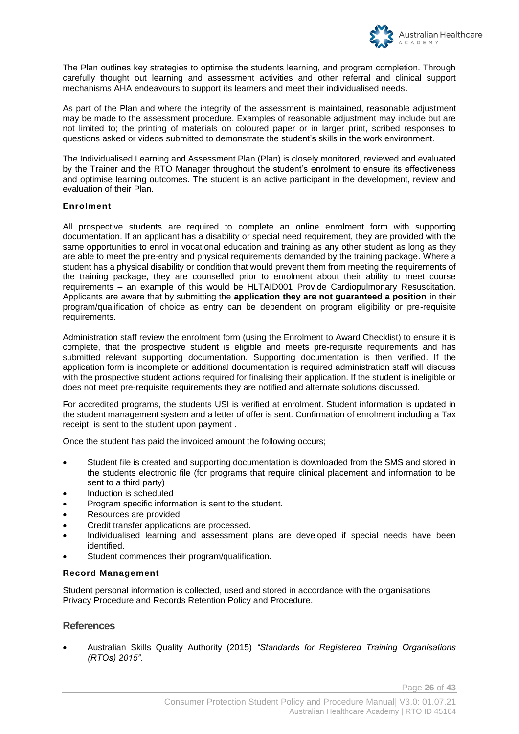

The Plan outlines key strategies to optimise the students learning, and program completion. Through carefully thought out learning and assessment activities and other referral and clinical support mechanisms AHA endeavours to support its learners and meet their individualised needs.

As part of the Plan and where the integrity of the assessment is maintained, reasonable adjustment may be made to the assessment procedure. Examples of reasonable adjustment may include but are not limited to; the printing of materials on coloured paper or in larger print, scribed responses to questions asked or videos submitted to demonstrate the student's skills in the work environment.

The Individualised Learning and Assessment Plan (Plan) is closely monitored, reviewed and evaluated by the Trainer and the RTO Manager throughout the student's enrolment to ensure its effectiveness and optimise learning outcomes. The student is an active participant in the development, review and evaluation of their Plan.

#### **Enrolment**

All prospective students are required to complete an online enrolment form with supporting documentation. If an applicant has a disability or special need requirement, they are provided with the same opportunities to enrol in vocational education and training as any other student as long as they are able to meet the pre-entry and physical requirements demanded by the training package. Where a student has a physical disability or condition that would prevent them from meeting the requirements of the training package, they are counselled prior to enrolment about their ability to meet course requirements – an example of this would be HLTAID001 Provide Cardiopulmonary Resuscitation. Applicants are aware that by submitting the **application they are not guaranteed a position** in their program/qualification of choice as entry can be dependent on program eligibility or pre-requisite requirements.

Administration staff review the enrolment form (using the Enrolment to Award Checklist) to ensure it is complete, that the prospective student is eligible and meets pre-requisite requirements and has submitted relevant supporting documentation. Supporting documentation is then verified. If the application form is incomplete or additional documentation is required administration staff will discuss with the prospective student actions required for finalising their application. If the student is ineligible or does not meet pre-requisite requirements they are notified and alternate solutions discussed.

For accredited programs, the students USI is verified at enrolment. Student information is updated in the student management system and a letter of offer is sent. Confirmation of enrolment including a Tax receipt is sent to the student upon payment .

Once the student has paid the invoiced amount the following occurs;

- Student file is created and supporting documentation is downloaded from the SMS and stored in the students electronic file (for programs that require clinical placement and information to be sent to a third party)
- Induction is scheduled
- Program specific information is sent to the student.
- Resources are provided.
- Credit transfer applications are processed.
- Individualised learning and assessment plans are developed if special needs have been identified.
- Student commences their program/qualification.

#### **Record Management**

Student personal information is collected, used and stored in accordance with the organisations Privacy Procedure and Records Retention Policy and Procedure.

#### **References**

• Australian Skills Quality Authority (2015) *"Standards for Registered Training Organisations (RTOs) 2015"*.

Page **26** of **43**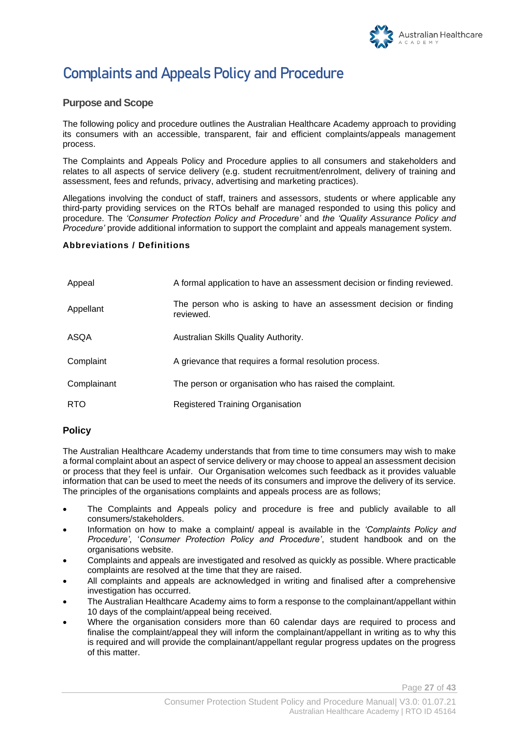

# **Complaints and Appeals Policy and Procedure**

#### **Purpose and Scope**

The following policy and procedure outlines the Australian Healthcare Academy approach to providing its consumers with an accessible, transparent, fair and efficient complaints/appeals management process.

The Complaints and Appeals Policy and Procedure applies to all consumers and stakeholders and relates to all aspects of service delivery (e.g. student recruitment/enrolment, delivery of training and assessment, fees and refunds, privacy, advertising and marketing practices).

Allegations involving the conduct of staff, trainers and assessors, students or where applicable any third-party providing services on the RTOs behalf are managed responded to using this policy and procedure. The *'Consumer Protection Policy and Procedure'* and *the 'Quality Assurance Policy and Procedure'* provide additional information to support the complaint and appeals management system.

#### **Abbreviations / Definitions**

| Appeal      | A formal application to have an assessment decision or finding reviewed.        |
|-------------|---------------------------------------------------------------------------------|
| Appellant   | The person who is asking to have an assessment decision or finding<br>reviewed. |
| ASQA        | Australian Skills Quality Authority.                                            |
| Complaint   | A grievance that requires a formal resolution process.                          |
| Complainant | The person or organisation who has raised the complaint.                        |
| <b>RTO</b>  | Registered Training Organisation                                                |

#### **Policy**

The Australian Healthcare Academy understands that from time to time consumers may wish to make a formal complaint about an aspect of service delivery or may choose to appeal an assessment decision or process that they feel is unfair. Our Organisation welcomes such feedback as it provides valuable information that can be used to meet the needs of its consumers and improve the delivery of its service. The principles of the organisations complaints and appeals process are as follows;

- The Complaints and Appeals policy and procedure is free and publicly available to all consumers/stakeholders.
- Information on how to make a complaint/ appeal is available in the *'Complaints Policy and Procedure'*, '*Consumer Protection Policy and Procedure'*, student handbook and on the organisations website.
- Complaints and appeals are investigated and resolved as quickly as possible. Where practicable complaints are resolved at the time that they are raised.
- All complaints and appeals are acknowledged in writing and finalised after a comprehensive investigation has occurred.
- The Australian Healthcare Academy aims to form a response to the complainant/appellant within 10 days of the complaint/appeal being received.
- Where the organisation considers more than 60 calendar days are required to process and finalise the complaint/appeal they will inform the complainant/appellant in writing as to why this is required and will provide the complainant/appellant regular progress updates on the progress of this matter.

Page **27** of **43**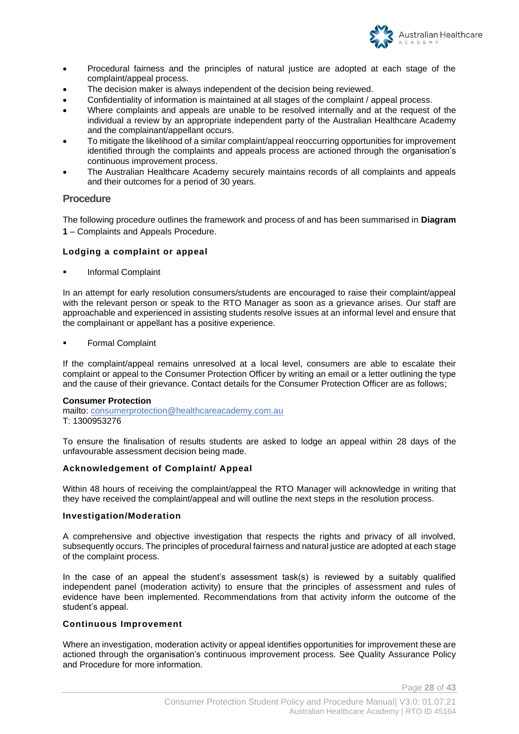

- Procedural fairness and the principles of natural justice are adopted at each stage of the complaint/appeal process.
- The decision maker is always independent of the decision being reviewed.
- Confidentiality of information is maintained at all stages of the complaint / appeal process.
- Where complaints and appeals are unable to be resolved internally and at the request of the individual a review by an appropriate independent party of the Australian Healthcare Academy and the complainant/appellant occurs.
- To mitigate the likelihood of a similar complaint/appeal reoccurring opportunities for improvement identified through the complaints and appeals process are actioned through the organisation's continuous improvement process.
- The Australian Healthcare Academy securely maintains records of all complaints and appeals and their outcomes for a period of 30 years.

#### **Procedure**

The following procedure outlines the framework and process of and has been summarised in **Diagram 1** – Complaints and Appeals Procedure.

#### **Lodging a complaint or appeal**

**Informal Complaint** 

In an attempt for early resolution consumers/students are encouraged to raise their complaint/appeal with the relevant person or speak to the RTO Manager as soon as a grievance arises. Our staff are approachable and experienced in assisting students resolve issues at an informal level and ensure that the complainant or appellant has a positive experience.

**Formal Complaint** 

If the complaint/appeal remains unresolved at a local level, consumers are able to escalate their complaint or appeal to the Consumer Protection Officer by writing an email or a letter outlining the type and the cause of their grievance. Contact details for the Consumer Protection Officer are as follows;

#### **Consumer Protection**

mailto: consumerprotection@healthcareacademy.com.au T: 1300953276

To ensure the finalisation of results students are asked to lodge an appeal within 28 days of the unfavourable assessment decision being made.

#### **Acknowledgement of Complaint/ Appeal**

Within 48 hours of receiving the complaint/appeal the RTO Manager will acknowledge in writing that they have received the complaint/appeal and will outline the next steps in the resolution process.

#### **Investigation/Moderation**

A comprehensive and objective investigation that respects the rights and privacy of all involved, subsequently occurs. The principles of procedural fairness and natural justice are adopted at each stage of the complaint process.

In the case of an appeal the student's assessment task(s) is reviewed by a suitably qualified independent panel (moderation activity) to ensure that the principles of assessment and rules of evidence have been implemented. Recommendations from that activity inform the outcome of the student's appeal.

#### **Continuous Improvement**

Where an investigation, moderation activity or appeal identifies opportunities for improvement these are actioned through the organisation's continuous improvement process. See Quality Assurance Policy and Procedure for more information.

Page **28** of **43**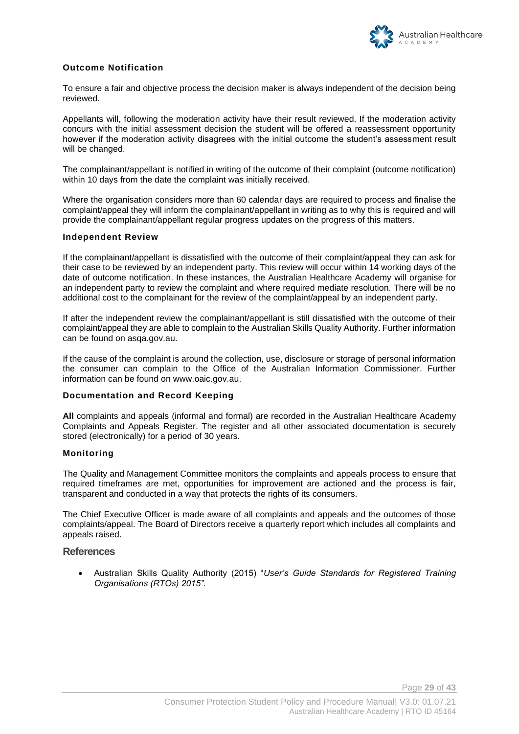

#### **Outcome Notification**

To ensure a fair and objective process the decision maker is always independent of the decision being reviewed.

Appellants will, following the moderation activity have their result reviewed. If the moderation activity concurs with the initial assessment decision the student will be offered a reassessment opportunity however if the moderation activity disagrees with the initial outcome the student's assessment result will be changed.

The complainant/appellant is notified in writing of the outcome of their complaint (outcome notification) within 10 days from the date the complaint was initially received.

Where the organisation considers more than 60 calendar days are required to process and finalise the complaint/appeal they will inform the complainant/appellant in writing as to why this is required and will provide the complainant/appellant regular progress updates on the progress of this matters.

#### **Independent Review**

If the complainant/appellant is dissatisfied with the outcome of their complaint/appeal they can ask for their case to be reviewed by an independent party. This review will occur within 14 working days of the date of outcome notification. In these instances, the Australian Healthcare Academy will organise for an independent party to review the complaint and where required mediate resolution. There will be no additional cost to the complainant for the review of the complaint/appeal by an independent party.

If after the independent review the complainant/appellant is still dissatisfied with the outcome of their complaint/appeal they are able to complain to the Australian Skills Quality Authority. Further information can be found on asqa.gov.au.

If the cause of the complaint is around the collection, use, disclosure or storage of personal information the consumer can complain to the Office of the Australian Information Commissioner. Further information can be found on www.oaic.gov.au.

#### **Documentation and Record Keeping**

**All** complaints and appeals (informal and formal) are recorded in the Australian Healthcare Academy Complaints and Appeals Register. The register and all other associated documentation is securely stored (electronically) for a period of 30 years.

#### **Monitoring**

The Quality and Management Committee monitors the complaints and appeals process to ensure that required timeframes are met, opportunities for improvement are actioned and the process is fair, transparent and conducted in a way that protects the rights of its consumers.

The Chief Executive Officer is made aware of all complaints and appeals and the outcomes of those complaints/appeal. The Board of Directors receive a quarterly report which includes all complaints and appeals raised.

#### **References**

• Australian Skills Quality Authority (2015) "*User's Guide Standards for Registered Training Organisations (RTOs) 2015".*

Page **29** of **43**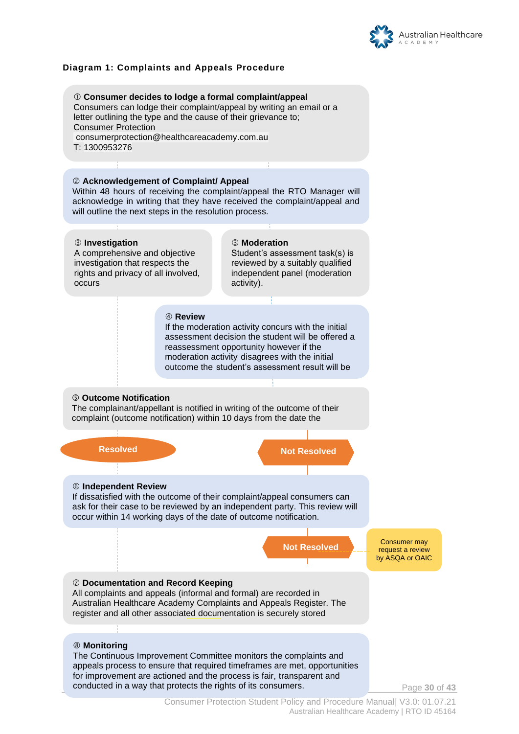

#### **Diagram 1: Complaints and Appeals Procedure**

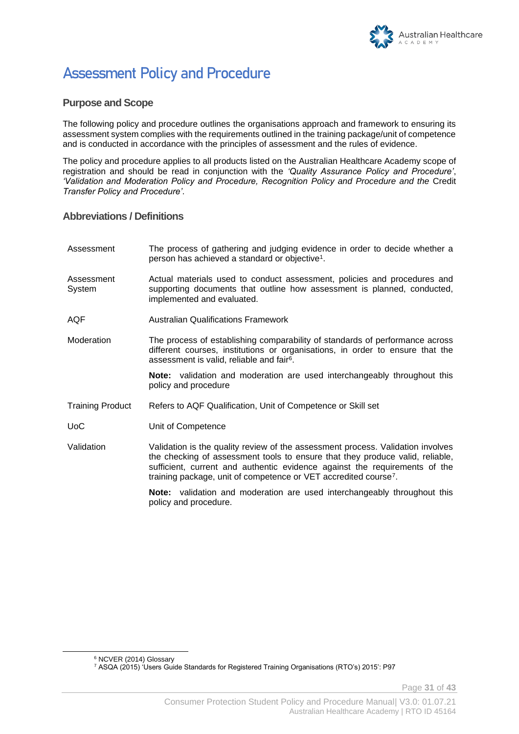

# **Assessment Policy and Procedure**

#### **Purpose and Scope**

The following policy and procedure outlines the organisations approach and framework to ensuring its assessment system complies with the requirements outlined in the training package/unit of competence and is conducted in accordance with the principles of assessment and the rules of evidence.

The policy and procedure applies to all products listed on the Australian Healthcare Academy scope of registration and should be read in conjunction with the *'Quality Assurance Policy and Procedure'*, *'Validation and Moderation Policy and Procedure, Recognition Policy and Procedure and the* Credit *Transfer Policy and Procedure'*.

#### **Abbreviations / Definitions**

| Assessment              | The process of gathering and judging evidence in order to decide whether a<br>person has achieved a standard or objective <sup>1</sup> .                                                                                                                                                                                       |
|-------------------------|--------------------------------------------------------------------------------------------------------------------------------------------------------------------------------------------------------------------------------------------------------------------------------------------------------------------------------|
| Assessment<br>System    | Actual materials used to conduct assessment, policies and procedures and<br>supporting documents that outline how assessment is planned, conducted,<br>implemented and evaluated.                                                                                                                                              |
| AQF                     | <b>Australian Qualifications Framework</b>                                                                                                                                                                                                                                                                                     |
| Moderation              | The process of establishing comparability of standards of performance across<br>different courses, institutions or organisations, in order to ensure that the<br>assessment is valid, reliable and fair <sup>6</sup> .                                                                                                         |
|                         | <b>Note:</b> validation and moderation are used interchangeably throughout this<br>policy and procedure                                                                                                                                                                                                                        |
| <b>Training Product</b> | Refers to AQF Qualification, Unit of Competence or Skill set                                                                                                                                                                                                                                                                   |
| <b>UoC</b>              | Unit of Competence                                                                                                                                                                                                                                                                                                             |
| Validation              | Validation is the quality review of the assessment process. Validation involves<br>the checking of assessment tools to ensure that they produce valid, reliable,<br>sufficient, current and authentic evidence against the requirements of the<br>training package, unit of competence or VET accredited course <sup>7</sup> . |
|                         | <b>Note:</b> validation and moderation are used interchangeably throughout this<br>policy and procedure.                                                                                                                                                                                                                       |

Page **31** of **43**

<sup>6</sup> NCVER (2014) Glossary

<sup>7</sup> ASQA (2015) 'Users Guide Standards for Registered Training Organisations (RTO's) 2015': P97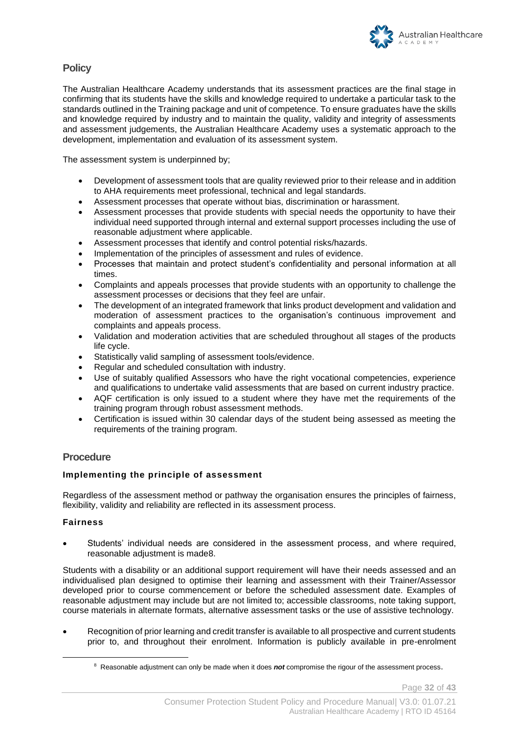#### **Policy**

The Australian Healthcare Academy understands that its assessment practices are the final stage in confirming that its students have the skills and knowledge required to undertake a particular task to the standards outlined in the Training package and unit of competence. To ensure graduates have the skills and knowledge required by industry and to maintain the quality, validity and integrity of assessments and assessment judgements, the Australian Healthcare Academy uses a systematic approach to the development, implementation and evaluation of its assessment system.

The assessment system is underpinned by;

- Development of assessment tools that are quality reviewed prior to their release and in addition to AHA requirements meet professional, technical and legal standards.
- Assessment processes that operate without bias, discrimination or harassment.
- Assessment processes that provide students with special needs the opportunity to have their individual need supported through internal and external support processes including the use of reasonable adjustment where applicable.
- Assessment processes that identify and control potential risks/hazards.
- Implementation of the principles of assessment and rules of evidence.
- Processes that maintain and protect student's confidentiality and personal information at all times.
- Complaints and appeals processes that provide students with an opportunity to challenge the assessment processes or decisions that they feel are unfair.
- The development of an integrated framework that links product development and validation and moderation of assessment practices to the organisation's continuous improvement and complaints and appeals process.
- Validation and moderation activities that are scheduled throughout all stages of the products life cycle.
- Statistically valid sampling of assessment tools/evidence.
- Regular and scheduled consultation with industry.
- Use of suitably qualified Assessors who have the right vocational competencies, experience and qualifications to undertake valid assessments that are based on current industry practice.
- AQF certification is only issued to a student where they have met the requirements of the training program through robust assessment methods.
- Certification is issued within 30 calendar days of the student being assessed as meeting the requirements of the training program.

#### **Procedure**

#### **Implementing the principle of assessment**

Regardless of the assessment method or pathway the organisation ensures the principles of fairness, flexibility, validity and reliability are reflected in its assessment process.

#### **Fairness**

• Students' individual needs are considered in the assessment process, and where required, reasonable adjustment is made8.

Students with a disability or an additional support requirement will have their needs assessed and an individualised plan designed to optimise their learning and assessment with their Trainer/Assessor developed prior to course commencement or before the scheduled assessment date. Examples of reasonable adjustment may include but are not limited to; accessible classrooms, note taking support, course materials in alternate formats, alternative assessment tasks or the use of assistive technology.

• Recognition of prior learning and credit transfer is available to all prospective and current students prior to, and throughout their enrolment. Information is publicly available in pre-enrolment

<sup>&</sup>lt;sup>8</sup> Reasonable adjustment can only be made when it does not compromise the rigour of the assessment process.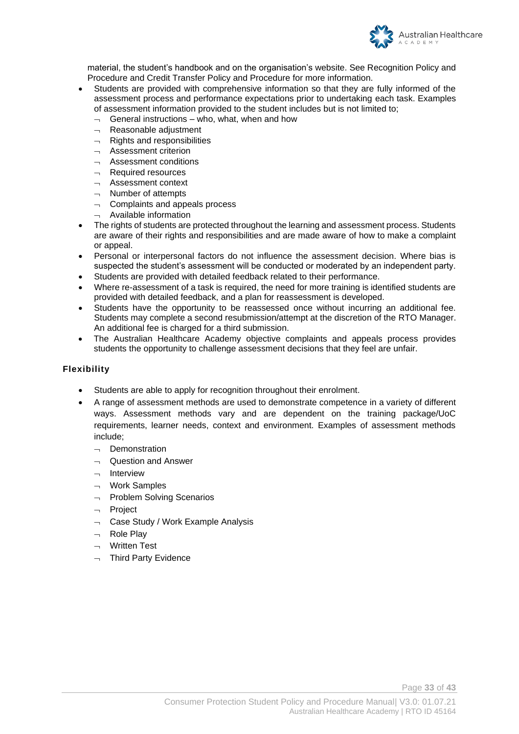

material, the student's handbook and on the organisation's website. See Recognition Policy and Procedure and Credit Transfer Policy and Procedure for more information.

- Students are provided with comprehensive information so that they are fully informed of the assessment process and performance expectations prior to undertaking each task. Examples of assessment information provided to the student includes but is not limited to;
	- $\lnot$  General instructions who, what, when and how
	- $\lnot$  Reasonable adjustment
	- $\lnot$  Rights and responsibilities
	- Assessment criterion
	- $\overline{\phantom{a}}$  Assessment conditions
	- $\overline{\phantom{a}}$  Required resources
	- $\lnot$  Assessment context
	- $\lnot$  Number of attempts
	- $\lnot$  Complaints and appeals process
	- Available information
- The rights of students are protected throughout the learning and assessment process. Students are aware of their rights and responsibilities and are made aware of how to make a complaint or appeal.
- Personal or interpersonal factors do not influence the assessment decision. Where bias is suspected the student's assessment will be conducted or moderated by an independent party.
- Students are provided with detailed feedback related to their performance.
- Where re-assessment of a task is required, the need for more training is identified students are provided with detailed feedback, and a plan for reassessment is developed.
- Students have the opportunity to be reassessed once without incurring an additional fee. Students may complete a second resubmission/attempt at the discretion of the RTO Manager. An additional fee is charged for a third submission.
- The Australian Healthcare Academy objective complaints and appeals process provides students the opportunity to challenge assessment decisions that they feel are unfair.

#### **Flexibility**

- Students are able to apply for recognition throughout their enrolment.
- A range of assessment methods are used to demonstrate competence in a variety of different ways. Assessment methods vary and are dependent on the training package/UoC requirements, learner needs, context and environment. Examples of assessment methods include;
	- $\neg$  Demonstration
	- $\sim$  Question and Answer
	- $\neg$  Interview
	- $\neg$  Work Samples
	- $\neg$  Problem Solving Scenarios
	- $\neg$  Project
	- $\lnot$  Case Study / Work Example Analysis
	- Role Play
	- Written Test
	- $\neg$  Third Party Evidence

Page **33** of **43**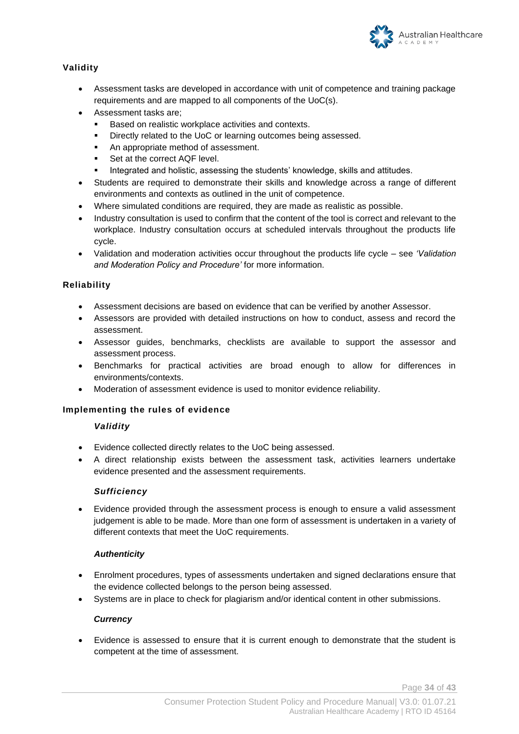

#### **Validity**

- Assessment tasks are developed in accordance with unit of competence and training package requirements and are mapped to all components of the UoC(s).
- Assessment tasks are;
	- Based on realistic workplace activities and contexts.
	- Directly related to the UoC or learning outcomes being assessed.
	- An appropriate method of assessment.
	- Set at the correct AQF level.
	- Integrated and holistic, assessing the students' knowledge, skills and attitudes.
- Students are required to demonstrate their skills and knowledge across a range of different environments and contexts as outlined in the unit of competence.
- Where simulated conditions are required, they are made as realistic as possible.
- Industry consultation is used to confirm that the content of the tool is correct and relevant to the workplace. Industry consultation occurs at scheduled intervals throughout the products life cycle.
- Validation and moderation activities occur throughout the products life cycle see *'Validation and Moderation Policy and Procedure'* for more information.

#### **Reliability**

- Assessment decisions are based on evidence that can be verified by another Assessor.
- Assessors are provided with detailed instructions on how to conduct, assess and record the assessment.
- Assessor guides, benchmarks, checklists are available to support the assessor and assessment process.
- Benchmarks for practical activities are broad enough to allow for differences in environments/contexts.
- Moderation of assessment evidence is used to monitor evidence reliability.

#### **Implementing the rules of evidence**

#### *Validity*

- Evidence collected directly relates to the UoC being assessed.
- A direct relationship exists between the assessment task, activities learners undertake evidence presented and the assessment requirements.

#### *Sufficiency*

• Evidence provided through the assessment process is enough to ensure a valid assessment judgement is able to be made. More than one form of assessment is undertaken in a variety of different contexts that meet the UoC requirements.

#### *Authenticity*

- Enrolment procedures, types of assessments undertaken and signed declarations ensure that the evidence collected belongs to the person being assessed.
- Systems are in place to check for plagiarism and/or identical content in other submissions.

#### *Currency*

• Evidence is assessed to ensure that it is current enough to demonstrate that the student is competent at the time of assessment.

Page **34** of **43**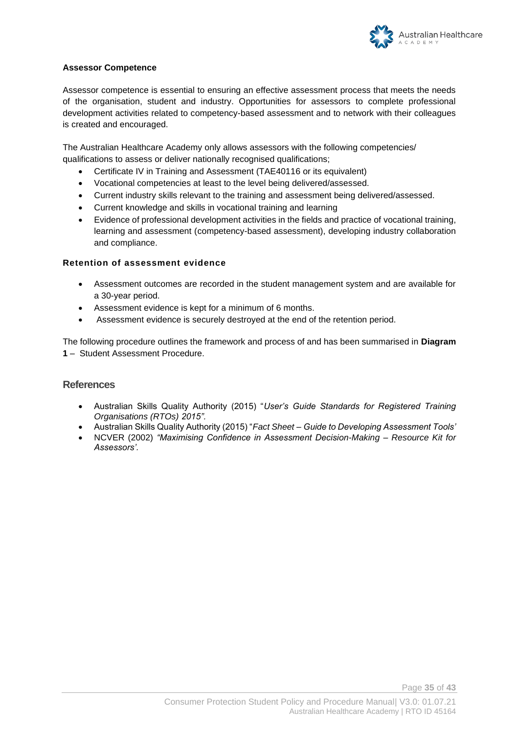

#### **Assessor Competence**

Assessor competence is essential to ensuring an effective assessment process that meets the needs of the organisation, student and industry. Opportunities for assessors to complete professional development activities related to competency-based assessment and to network with their colleagues is created and encouraged.

The Australian Healthcare Academy only allows assessors with the following competencies/ qualifications to assess or deliver nationally recognised qualifications;

- Certificate IV in Training and Assessment (TAE40116 or its equivalent)
- Vocational competencies at least to the level being delivered/assessed.
- Current industry skills relevant to the training and assessment being delivered/assessed.
- Current knowledge and skills in vocational training and learning
- Evidence of professional development activities in the fields and practice of vocational training, learning and assessment (competency-based assessment), developing industry collaboration and compliance.

#### **Retention of assessment evidence**

- Assessment outcomes are recorded in the student management system and are available for a 30-year period.
- Assessment evidence is kept for a minimum of 6 months.
- Assessment evidence is securely destroyed at the end of the retention period.

The following procedure outlines the framework and process of and has been summarised in **Diagram 1** – Student Assessment Procedure.

#### **References**

- Australian Skills Quality Authority (2015) "*User's Guide Standards for Registered Training Organisations (RTOs) 2015".*
- Australian Skills Quality Authority (2015) "*Fact Sheet – Guide to Developing Assessment Tools'*
- NCVER (2002) *"Maximising Confidence in Assessment Decision-Making – Resource Kit for Assessors'.*

Page **35** of **43**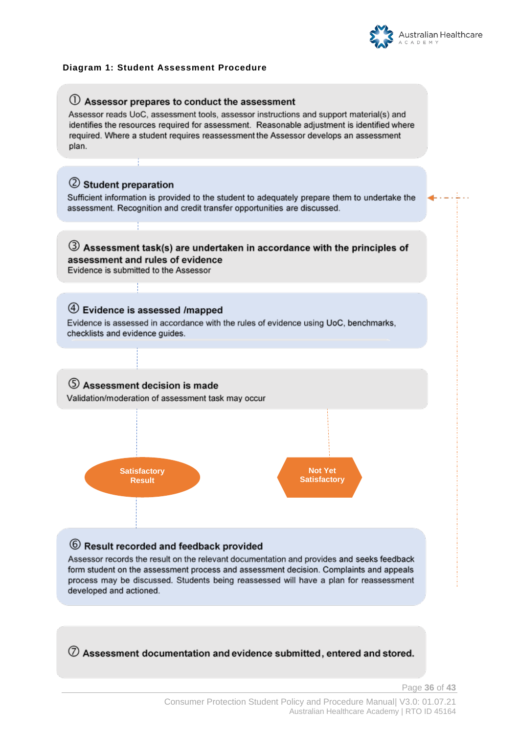

#### **Diagram 1: Student Assessment Procedure**



 $\oslash$  Assessment documentation and evidence submitted, entered and stored.

Page **36** of **43**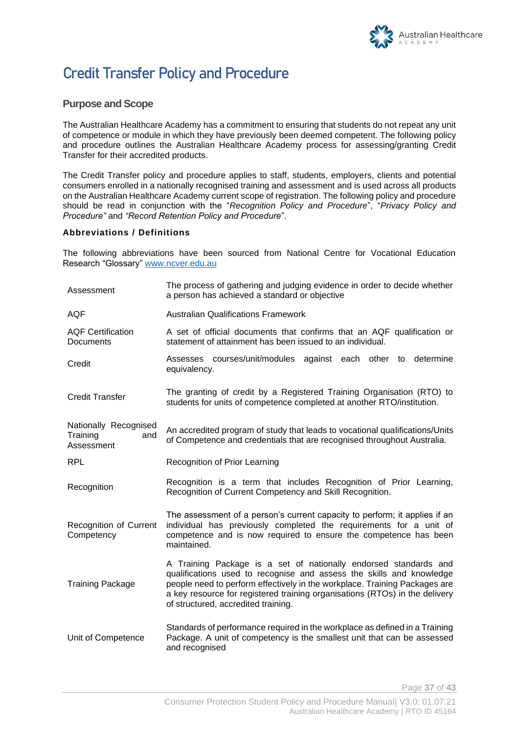

# **Credit Transfer Policy and Procedure**

#### **Purpose and Scope**

The Australian Healthcare Academy has a commitment to ensuring that students do not repeat any unit of competence or module in which they have previously been deemed competent. The following policy and procedure outlines the Australian Healthcare Academy process for assessing/granting Credit Transfer for their accredited products.

The Credit Transfer policy and procedure applies to staff, students, employers, clients and potential consumers enrolled in a nationally recognised training and assessment and is used across all products on the Australian Healthcare Academy current scope of registration. The following policy and procedure should be read in conjunction with the "*Recognition Policy and Procedure*", "*Privacy Policy and Procedure"* and *"Record Retention Policy and Procedure*".

#### **Abbreviations / Definitions**

The following abbreviations have been sourced from National Centre for Vocational Education Research "Glossary" [www.ncver.edu.au](http://www.ncver.edu.au/)

| Assessment                                             | The process of gathering and judging evidence in order to decide whether<br>a person has achieved a standard or objective                                                                                                                                                                                                                    |
|--------------------------------------------------------|----------------------------------------------------------------------------------------------------------------------------------------------------------------------------------------------------------------------------------------------------------------------------------------------------------------------------------------------|
| <b>AQF</b>                                             | <b>Australian Qualifications Framework</b>                                                                                                                                                                                                                                                                                                   |
| <b>AQF Certification</b><br>Documents                  | A set of official documents that confirms that an AQF qualification or<br>statement of attainment has been issued to an individual.                                                                                                                                                                                                          |
| Credit                                                 | Assesses courses/unit/modules against each other to<br>determine<br>equivalency.                                                                                                                                                                                                                                                             |
| <b>Credit Transfer</b>                                 | The granting of credit by a Registered Training Organisation (RTO) to<br>students for units of competence completed at another RTO/institution.                                                                                                                                                                                              |
| Nationally Recognised<br>Training<br>and<br>Assessment | An accredited program of study that leads to vocational qualifications/Units<br>of Competence and credentials that are recognised throughout Australia.                                                                                                                                                                                      |
| <b>RPL</b>                                             | Recognition of Prior Learning                                                                                                                                                                                                                                                                                                                |
| Recognition                                            | Recognition is a term that includes Recognition of Prior Learning,<br>Recognition of Current Competency and Skill Recognition.                                                                                                                                                                                                               |
| Recognition of Current<br>Competency                   | The assessment of a person's current capacity to perform; it applies if an<br>individual has previously completed the requirements for a unit of<br>competence and is now required to ensure the competence has been<br>maintained.                                                                                                          |
| <b>Training Package</b>                                | A Training Package is a set of nationally endorsed standards and<br>qualifications used to recognise and assess the skills and knowledge<br>people need to perform effectively in the workplace. Training Packages are<br>a key resource for registered training organisations (RTOs) in the delivery<br>of structured, accredited training. |
|                                                        |                                                                                                                                                                                                                                                                                                                                              |

Page **37** of **43**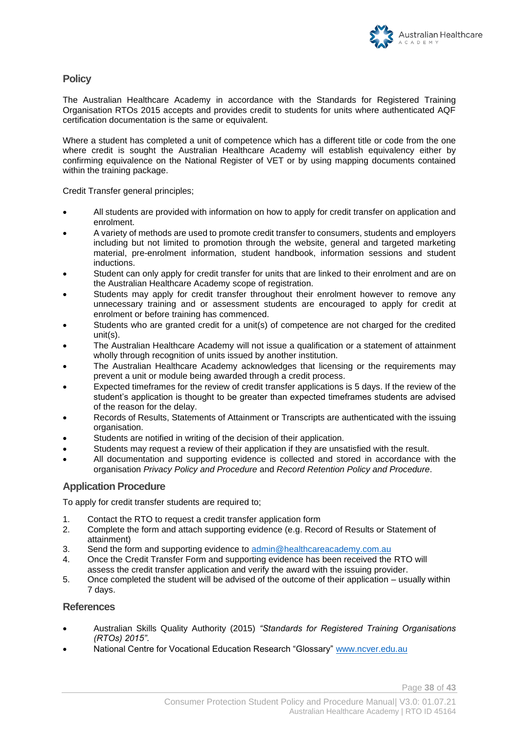#### **Policy**

The Australian Healthcare Academy in accordance with the Standards for Registered Training Organisation RTOs 2015 accepts and provides credit to students for units where authenticated AQF certification documentation is the same or equivalent.

Where a student has completed a unit of competence which has a different title or code from the one where credit is sought the Australian Healthcare Academy will establish equivalency either by confirming equivalence on the National Register of VET or by using mapping documents contained within the training package.

Credit Transfer general principles;

- All students are provided with information on how to apply for credit transfer on application and enrolment.
- A variety of methods are used to promote credit transfer to consumers, students and employers including but not limited to promotion through the website, general and targeted marketing material, pre-enrolment information, student handbook, information sessions and student inductions.
- Student can only apply for credit transfer for units that are linked to their enrolment and are on the Australian Healthcare Academy scope of registration.
- Students may apply for credit transfer throughout their enrolment however to remove any unnecessary training and or assessment students are encouraged to apply for credit at enrolment or before training has commenced.
- Students who are granted credit for a unit(s) of competence are not charged for the credited unit(s).
- The Australian Healthcare Academy will not issue a qualification or a statement of attainment wholly through recognition of units issued by another institution.
- The Australian Healthcare Academy acknowledges that licensing or the requirements may prevent a unit or module being awarded through a credit process.
- Expected timeframes for the review of credit transfer applications is 5 days. If the review of the student's application is thought to be greater than expected timeframes students are advised of the reason for the delay.
- Records of Results, Statements of Attainment or Transcripts are authenticated with the issuing organisation.
- Students are notified in writing of the decision of their application.
- Students may request a review of their application if they are unsatisfied with the result.
- All documentation and supporting evidence is collected and stored in accordance with the organisation *Privacy Policy and Procedure* and *Record Retention Policy and Procedure*.

#### **Application Procedure**

To apply for credit transfer students are required to:

- 1. Contact the RTO to request a credit transfer application form
- 2. Complete the form and attach supporting evidence (e.g. Record of Results or Statement of attainment)
- 3. Send the form and supporting evidence to [admin@healthcareacademy.com.au](mailto:admin@healthcareacademy.com.au)
- 4. Once the Credit Transfer Form and supporting evidence has been received the RTO will assess the credit transfer application and verify the award with the issuing provider.
- 5. Once completed the student will be advised of the outcome of their application usually within 7 days.

#### **References**

- Australian Skills Quality Authority (2015) *"Standards for Registered Training Organisations (RTOs) 2015"*.
- National Centre for Vocational Education Research "Glossary" [www.ncver.edu.au](http://www.ncver.edu.au/)

Page **38** of **43**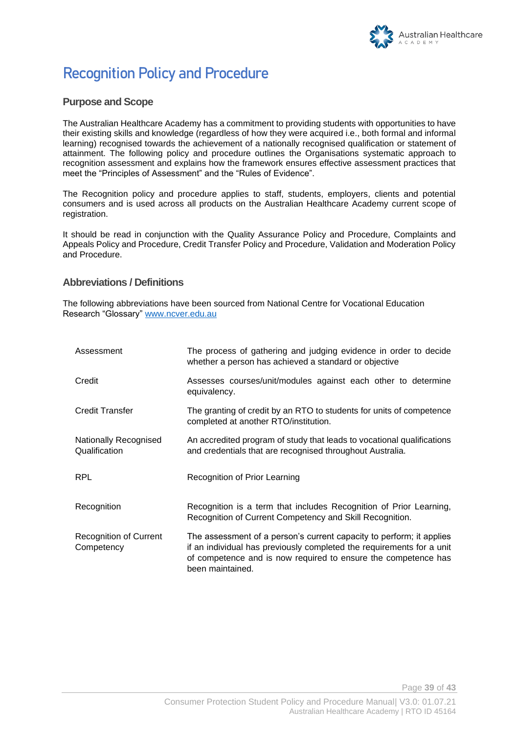# **Recognition Policy and Procedure**

#### **Purpose and Scope**

The Australian Healthcare Academy has a commitment to providing students with opportunities to have their existing skills and knowledge (regardless of how they were acquired i.e., both formal and informal learning) recognised towards the achievement of a nationally recognised qualification or statement of attainment. The following policy and procedure outlines the Organisations systematic approach to recognition assessment and explains how the framework ensures effective assessment practices that meet the "Principles of Assessment" and the "Rules of Evidence".

The Recognition policy and procedure applies to staff, students, employers, clients and potential consumers and is used across all products on the Australian Healthcare Academy current scope of registration.

It should be read in conjunction with the Quality Assurance Policy and Procedure, Complaints and Appeals Policy and Procedure, Credit Transfer Policy and Procedure, Validation and Moderation Policy and Procedure.

#### **Abbreviations / Definitions**

The following abbreviations have been sourced from National Centre for Vocational Education Research "Glossary" [www.ncver.edu.au](http://www.ncver.edu.au/)

| Assessment                                  | The process of gathering and judging evidence in order to decide<br>whether a person has achieved a standard or objective                                                                                                           |
|---------------------------------------------|-------------------------------------------------------------------------------------------------------------------------------------------------------------------------------------------------------------------------------------|
| Credit                                      | Assesses courses/unit/modules against each other to determine<br>equivalency.                                                                                                                                                       |
| <b>Credit Transfer</b>                      | The granting of credit by an RTO to students for units of competence<br>completed at another RTO/institution.                                                                                                                       |
| Nationally Recognised<br>Qualification      | An accredited program of study that leads to vocational qualifications<br>and credentials that are recognised throughout Australia.                                                                                                 |
| <b>RPL</b>                                  | Recognition of Prior Learning                                                                                                                                                                                                       |
| Recognition                                 | Recognition is a term that includes Recognition of Prior Learning,<br>Recognition of Current Competency and Skill Recognition.                                                                                                      |
| <b>Recognition of Current</b><br>Competency | The assessment of a person's current capacity to perform; it applies<br>if an individual has previously completed the requirements for a unit<br>of competence and is now required to ensure the competence has<br>been maintained. |

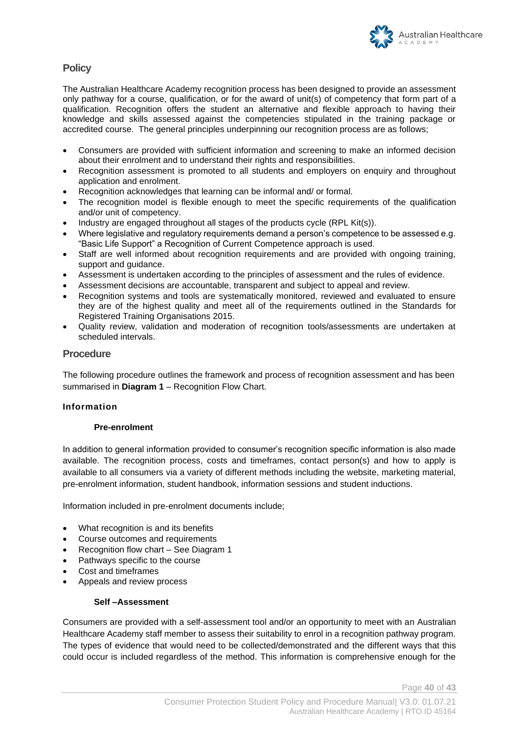

#### **Policy**

The Australian Healthcare Academy recognition process has been designed to provide an assessment only pathway for a course, qualification, or for the award of unit(s) of competency that form part of a qualification. Recognition offers the student an alternative and flexible approach to having their knowledge and skills assessed against the competencies stipulated in the training package or accredited course. The general principles underpinning our recognition process are as follows;

- Consumers are provided with sufficient information and screening to make an informed decision about their enrolment and to understand their rights and responsibilities.
- Recognition assessment is promoted to all students and employers on enquiry and throughout application and enrolment.
- Recognition acknowledges that learning can be informal and/ or formal.
- The recognition model is flexible enough to meet the specific requirements of the qualification and/or unit of competency.
- Industry are engaged throughout all stages of the products cycle (RPL Kit(s)).
- Where legislative and regulatory requirements demand a person's competence to be assessed e.g. "Basic Life Support" a Recognition of Current Competence approach is used.
- Staff are well informed about recognition requirements and are provided with ongoing training, support and guidance.
- Assessment is undertaken according to the principles of assessment and the rules of evidence.
- Assessment decisions are accountable, transparent and subject to appeal and review.
- Recognition systems and tools are systematically monitored, reviewed and evaluated to ensure they are of the highest quality and meet all of the requirements outlined in the Standards for Registered Training Organisations 2015.
- Quality review, validation and moderation of recognition tools/assessments are undertaken at scheduled intervals.

#### **Procedure**

The following procedure outlines the framework and process of recognition assessment and has been summarised in **Diagram 1** – Recognition Flow Chart.

#### **Information**

#### **Pre-enrolment**

In addition to general information provided to consumer's recognition specific information is also made available. The recognition process, costs and timeframes, contact person(s) and how to apply is available to all consumers via a variety of different methods including the website, marketing material, pre-enrolment information, student handbook, information sessions and student inductions.

Information included in pre-enrolment documents include;

- What recognition is and its benefits
- Course outcomes and requirements
- Recognition flow chart See Diagram 1
- Pathways specific to the course
- Cost and timeframes
- Appeals and review process

#### **Self –Assessment**

Consumers are provided with a self-assessment tool and/or an opportunity to meet with an Australian Healthcare Academy staff member to assess their suitability to enrol in a recognition pathway program. The types of evidence that would need to be collected/demonstrated and the different ways that this could occur is included regardless of the method. This information is comprehensive enough for the

Page **40** of **43**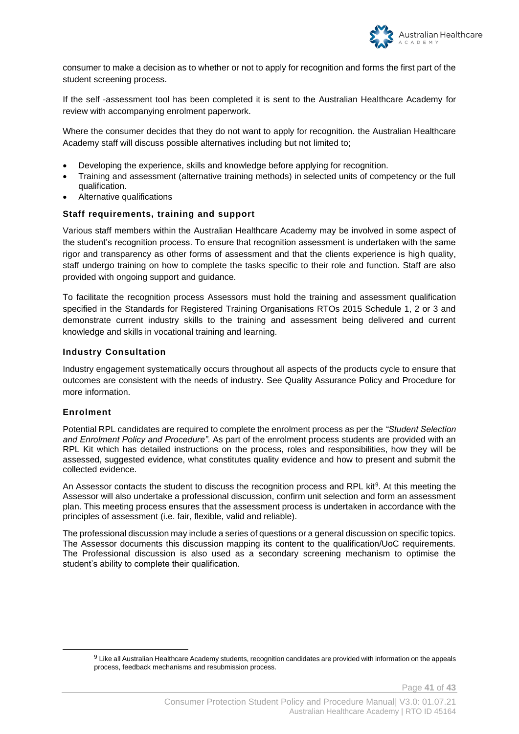

consumer to make a decision as to whether or not to apply for recognition and forms the first part of the student screening process.

If the self -assessment tool has been completed it is sent to the Australian Healthcare Academy for review with accompanying enrolment paperwork.

Where the consumer decides that they do not want to apply for recognition. the Australian Healthcare Academy staff will discuss possible alternatives including but not limited to;

- Developing the experience, skills and knowledge before applying for recognition.
- Training and assessment (alternative training methods) in selected units of competency or the full qualification.
- Alternative qualifications

#### **Staff requirements, training and support**

Various staff members within the Australian Healthcare Academy may be involved in some aspect of the student's recognition process. To ensure that recognition assessment is undertaken with the same rigor and transparency as other forms of assessment and that the clients experience is high quality, staff undergo training on how to complete the tasks specific to their role and function. Staff are also provided with ongoing support and guidance.

To facilitate the recognition process Assessors must hold the training and assessment qualification specified in the Standards for Registered Training Organisations RTOs 2015 Schedule 1, 2 or 3 and demonstrate current industry skills to the training and assessment being delivered and current knowledge and skills in vocational training and learning.

#### **Industry Consultation**

Industry engagement systematically occurs throughout all aspects of the products cycle to ensure that outcomes are consistent with the needs of industry. See Quality Assurance Policy and Procedure for more information.

#### **Enrolment**

Potential RPL candidates are required to complete the enrolment process as per the *"Student Selection and Enrolment Policy and Procedure".* As part of the enrolment process students are provided with an RPL Kit which has detailed instructions on the process, roles and responsibilities, how they will be assessed, suggested evidence, what constitutes quality evidence and how to present and submit the collected evidence.

An Assessor contacts the student to discuss the recognition process and RPL kit<sup>9</sup>. At this meeting the Assessor will also undertake a professional discussion, confirm unit selection and form an assessment plan. This meeting process ensures that the assessment process is undertaken in accordance with the principles of assessment (i.e. fair, flexible, valid and reliable).

The professional discussion may include a series of questions or a general discussion on specific topics. The Assessor documents this discussion mapping its content to the qualification/UoC requirements. The Professional discussion is also used as a secondary screening mechanism to optimise the student's ability to complete their qualification.

Page **41** of **43**

<sup>9</sup> Like all Australian Healthcare Academy students, recognition candidates are provided with information on the appeals process, feedback mechanisms and resubmission process.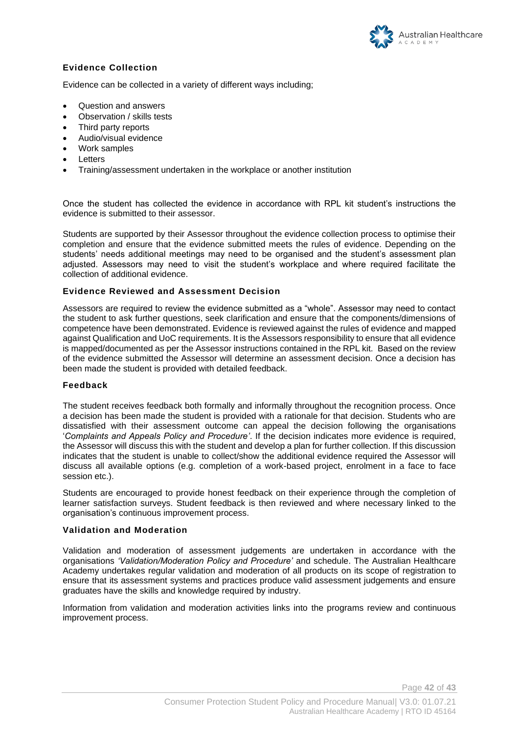

#### **Evidence Collection**

Evidence can be collected in a variety of different ways including;

- Question and answers
- Observation / skills tests
- Third party reports
- Audio/visual evidence
- Work samples
- Letters
- Training/assessment undertaken in the workplace or another institution

Once the student has collected the evidence in accordance with RPL kit student's instructions the evidence is submitted to their assessor.

Students are supported by their Assessor throughout the evidence collection process to optimise their completion and ensure that the evidence submitted meets the rules of evidence. Depending on the students' needs additional meetings may need to be organised and the student's assessment plan adjusted. Assessors may need to visit the student's workplace and where required facilitate the collection of additional evidence.

#### **Evidence Reviewed and Assessment Decision**

Assessors are required to review the evidence submitted as a "whole". Assessor may need to contact the student to ask further questions, seek clarification and ensure that the components/dimensions of competence have been demonstrated. Evidence is reviewed against the rules of evidence and mapped against Qualification and UoC requirements. It is the Assessors responsibility to ensure that all evidence is mapped/documented as per the Assessor instructions contained in the RPL kit. Based on the review of the evidence submitted the Assessor will determine an assessment decision. Once a decision has been made the student is provided with detailed feedback.

#### **Feedback**

The student receives feedback both formally and informally throughout the recognition process. Once a decision has been made the student is provided with a rationale for that decision. Students who are dissatisfied with their assessment outcome can appeal the decision following the organisations '*Complaints and Appeals Policy and Procedure'*. If the decision indicates more evidence is required, the Assessor will discuss this with the student and develop a plan for further collection. If this discussion indicates that the student is unable to collect/show the additional evidence required the Assessor will discuss all available options (e.g. completion of a work-based project, enrolment in a face to face session etc.).

Students are encouraged to provide honest feedback on their experience through the completion of learner satisfaction surveys. Student feedback is then reviewed and where necessary linked to the organisation's continuous improvement process.

#### **Validation and Moderation**

Validation and moderation of assessment judgements are undertaken in accordance with the organisations *'Validation/Moderation Policy and Procedure'* and schedule. The Australian Healthcare Academy undertakes regular validation and moderation of all products on its scope of registration to ensure that its assessment systems and practices produce valid assessment judgements and ensure graduates have the skills and knowledge required by industry.

Information from validation and moderation activities links into the programs review and continuous improvement process.

Page **42** of **43**